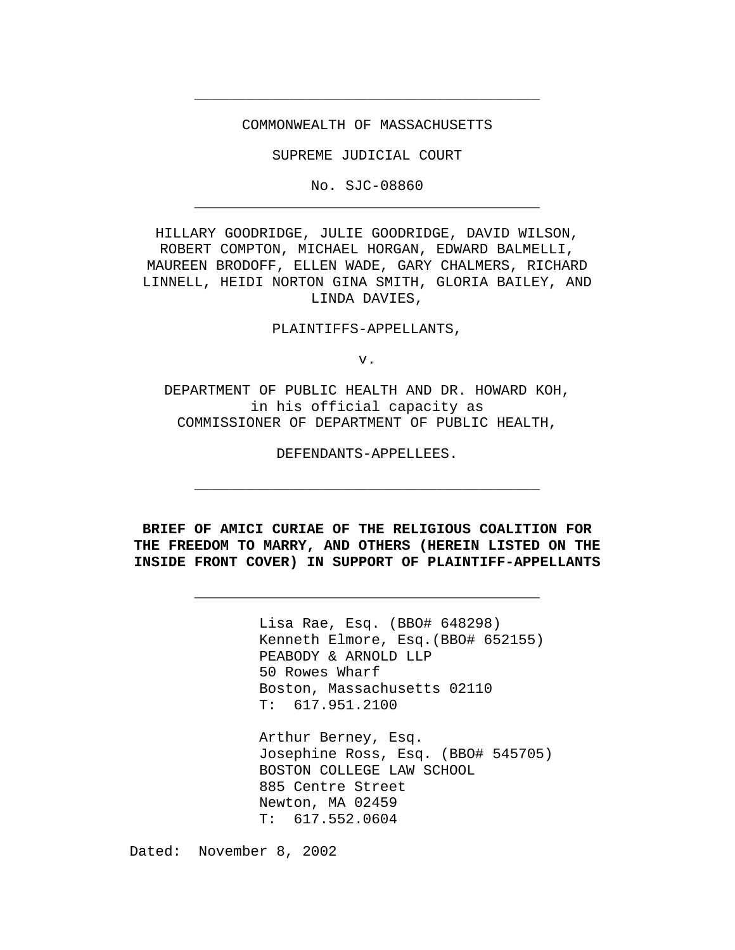COMMONWEALTH OF MASSACHUSETTS

**\_\_\_\_\_\_\_\_\_\_\_\_\_\_\_\_\_\_\_\_\_\_\_\_\_\_\_\_\_\_\_\_\_\_\_\_\_\_\_\_**

SUPREME JUDICIAL COURT

No. SJC-08860 **\_\_\_\_\_\_\_\_\_\_\_\_\_\_\_\_\_\_\_\_\_\_\_\_\_\_\_\_\_\_\_\_\_\_\_\_\_\_\_\_**

HILLARY GOODRIDGE, JULIE GOODRIDGE, DAVID WILSON, ROBERT COMPTON, MICHAEL HORGAN, EDWARD BALMELLI, MAUREEN BRODOFF, ELLEN WADE, GARY CHALMERS, RICHARD LINNELL, HEIDI NORTON GINA SMITH, GLORIA BAILEY, AND LINDA DAVIES,

PLAINTIFFS-APPELLANTS,

v.

DEPARTMENT OF PUBLIC HEALTH AND DR. HOWARD KOH, in his official capacity as COMMISSIONER OF DEPARTMENT OF PUBLIC HEALTH,

DEFENDANTS-APPELLEES.

**\_\_\_\_\_\_\_\_\_\_\_\_\_\_\_\_\_\_\_\_\_\_\_\_\_\_\_\_\_\_\_\_\_\_\_\_\_\_\_\_**

**BRIEF OF AMICI CURIAE OF THE RELIGIOUS COALITION FOR THE FREEDOM TO MARRY, AND OTHERS (HEREIN LISTED ON THE INSIDE FRONT COVER) IN SUPPORT OF PLAINTIFF-APPELLANTS**

**\_\_\_\_\_\_\_\_\_\_\_\_\_\_\_\_\_\_\_\_\_\_\_\_\_\_\_\_\_\_\_\_\_\_\_\_\_\_\_\_**

Lisa Rae, Esq. (BBO# 648298) Kenneth Elmore, Esq.(BBO# 652155) PEABODY & ARNOLD LLP 50 Rowes Wharf Boston, Massachusetts 02110 T: 617.951.2100

Arthur Berney, Esq. Josephine Ross, Esq. (BBO# 545705) BOSTON COLLEGE LAW SCHOOL 885 Centre Street Newton, MA 02459 T: 617.552.0604

Dated: November 8, 2002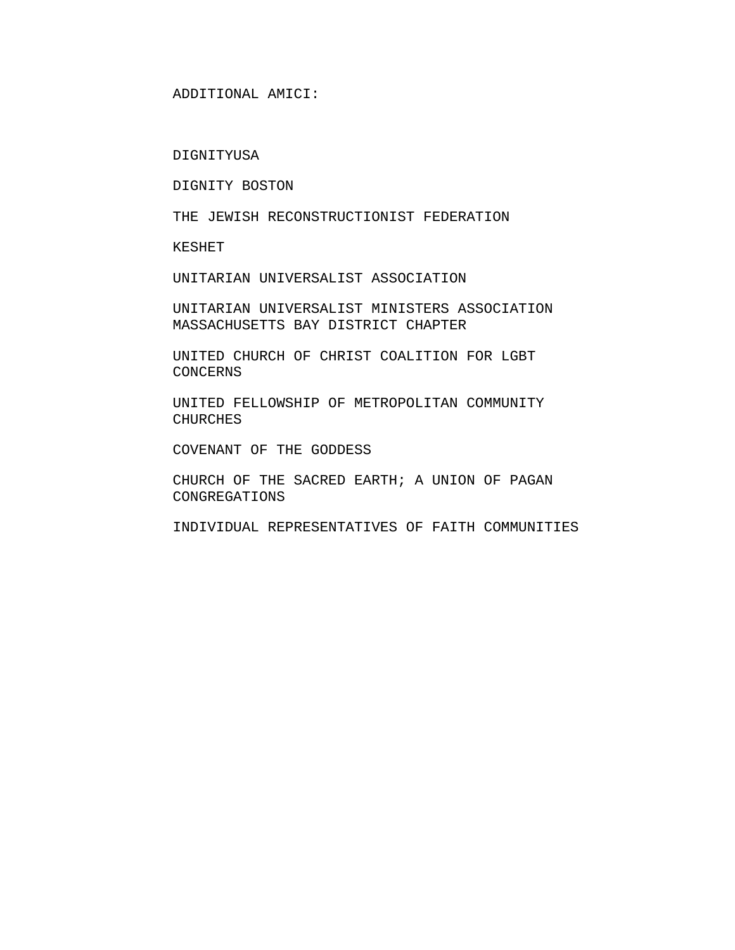#### DIGNITYUSA

DIGNITY BOSTON

THE JEWISH RECONSTRUCTIONIST FEDERATION

KESHET

UNITARIAN UNIVERSALIST ASSOCIATION

UNITARIAN UNIVERSALIST MINISTERS ASSOCIATION MASSACHUSETTS BAY DISTRICT CHAPTER

UNITED CHURCH OF CHRIST COALITION FOR LGBT CONCERNS

UNITED FELLOWSHIP OF METROPOLITAN COMMUNITY CHURCHES

COVENANT OF THE GODDESS

CHURCH OF THE SACRED EARTH; A UNION OF PAGAN CONGREGATIONS

INDIVIDUAL REPRESENTATIVES OF FAITH COMMUNITIES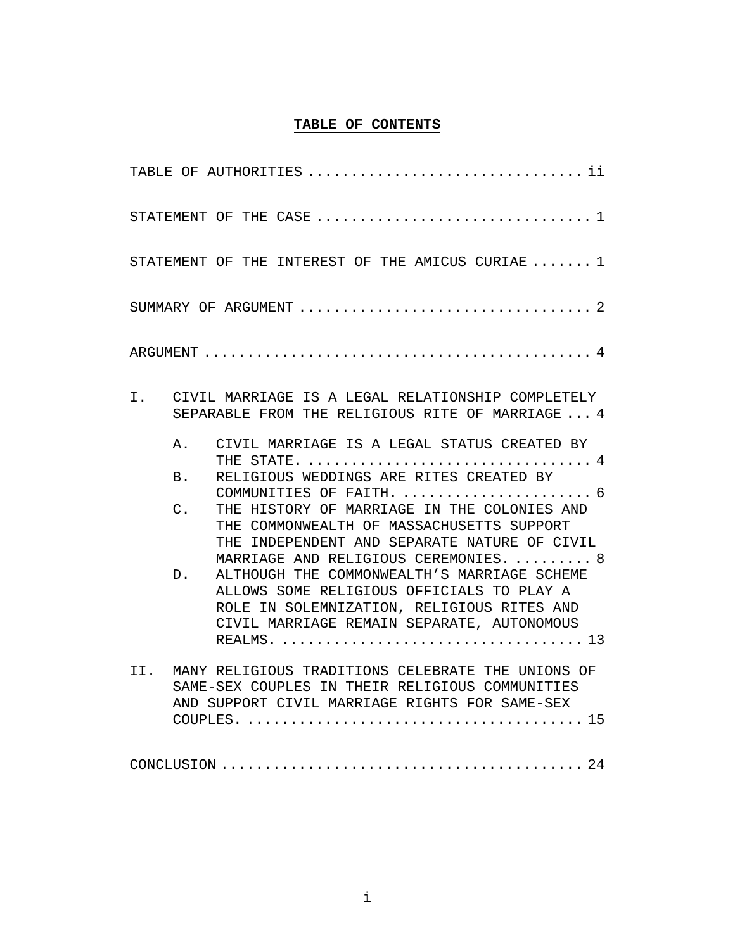### **TABLE OF CONTENTS**

| TABLE OF AUTHORITIES  ii                                                                                                                                                                                                                                                                                                                                                                                                                                                                                                                                                                                                              |
|---------------------------------------------------------------------------------------------------------------------------------------------------------------------------------------------------------------------------------------------------------------------------------------------------------------------------------------------------------------------------------------------------------------------------------------------------------------------------------------------------------------------------------------------------------------------------------------------------------------------------------------|
|                                                                                                                                                                                                                                                                                                                                                                                                                                                                                                                                                                                                                                       |
| STATEMENT OF THE INTEREST OF THE AMICUS CURIAE $\ldots \ldots 1$                                                                                                                                                                                                                                                                                                                                                                                                                                                                                                                                                                      |
|                                                                                                                                                                                                                                                                                                                                                                                                                                                                                                                                                                                                                                       |
| ARGUMENT $\ldots \ldots \ldots \ldots \ldots \ldots \ldots \ldots \ldots \ldots \ldots \ldots \ldots$                                                                                                                                                                                                                                                                                                                                                                                                                                                                                                                                 |
| CIVIL MARRIAGE IS A LEGAL RELATIONSHIP COMPLETELY<br>Ι.<br>SEPARABLE FROM THE RELIGIOUS RITE OF MARRIAGE  4                                                                                                                                                                                                                                                                                                                                                                                                                                                                                                                           |
| CIVIL MARRIAGE IS A LEGAL STATUS CREATED BY<br>Α.<br>THE STATE. $\ldots \ldots \ldots \ldots \ldots \ldots \ldots \ldots \ldots \ldots$<br>RELIGIOUS WEDDINGS ARE RITES CREATED BY<br>B <sub>1</sub><br>COMMUNITIES OF FAITH.  6<br>$\mathsf{C}$ .<br>THE HISTORY OF MARRIAGE IN THE COLONIES AND<br>THE COMMONWEALTH OF MASSACHUSETTS SUPPORT<br>THE INDEPENDENT AND SEPARATE NATURE OF CIVIL<br>MARRIAGE AND RELIGIOUS CEREMONIES.  8<br>ALTHOUGH THE COMMONWEALTH'S MARRIAGE SCHEME<br>D.<br>ALLOWS SOME RELIGIOUS OFFICIALS TO PLAY A<br>ROLE IN SOLEMNIZATION, RELIGIOUS RITES AND<br>CIVIL MARRIAGE REMAIN SEPARATE, AUTONOMOUS |
| II. MANY RELIGIOUS TRADITIONS CELEBRATE THE UNIONS OF<br>SAME-SEX COUPLES IN THEIR RELIGIOUS COMMUNITIES<br>AND SUPPORT CIVIL MARRIAGE RIGHTS FOR SAME-SEX                                                                                                                                                                                                                                                                                                                                                                                                                                                                            |
|                                                                                                                                                                                                                                                                                                                                                                                                                                                                                                                                                                                                                                       |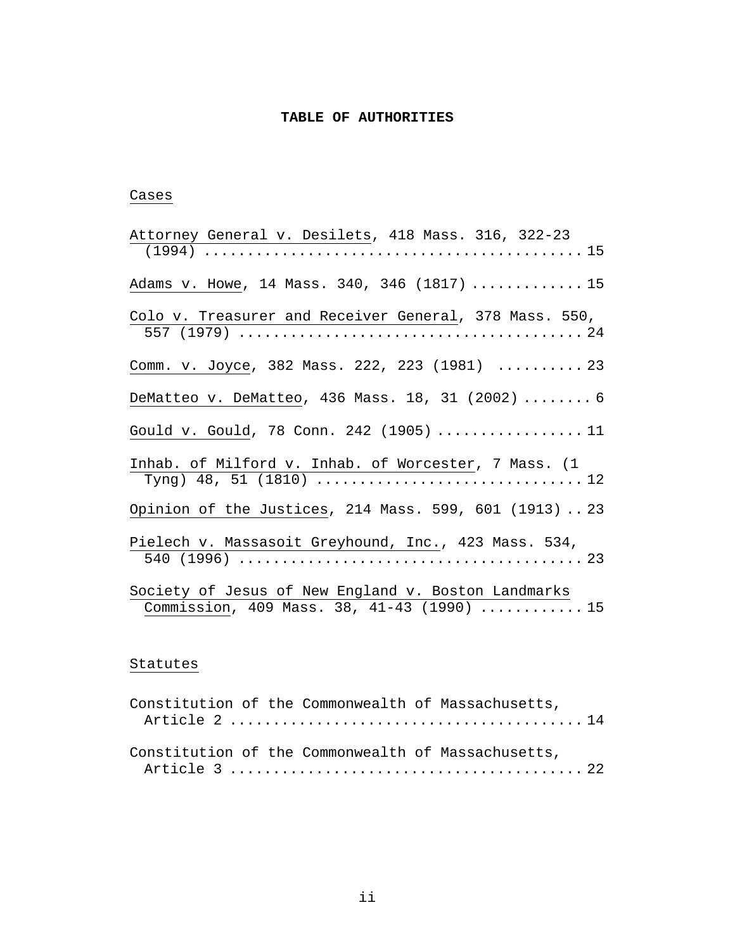### **TABLE OF AUTHORITIES**

### Cases

| Attorney General v. Desilets, 418 Mass. 316, 322-23                                              |
|--------------------------------------------------------------------------------------------------|
|                                                                                                  |
| Adams v. Howe, 14 Mass. 340, 346 (1817)  15                                                      |
| Colo v. Treasurer and Receiver General, 378 Mass. 550,                                           |
| Comm. v. Joyce, 382 Mass. 222, 223 (1981)  23                                                    |
| DeMatteo v. DeMatteo, 436 Mass. 18, 31 (2002)  6                                                 |
| Gould v. Gould, 78 Conn. 242 (1905)  11                                                          |
| Inhab. of Milford v. Inhab. of Worcester, 7 Mass. (1                                             |
| Opinion of the Justices, 214 Mass. 599, 601 (1913)  23                                           |
| Pielech v. Massasoit Greyhound, Inc., 423 Mass. 534,                                             |
| Society of Jesus of New England v. Boston Landmarks<br>Commission, 409 Mass. 38, 41-43 (1990) 15 |

## Statutes

|  |  | Constitution of the Commonwealth of Massachusetts, |  |
|--|--|----------------------------------------------------|--|
|  |  |                                                    |  |
|  |  |                                                    |  |
|  |  | Constitution of the Commonwealth of Massachusetts, |  |
|  |  |                                                    |  |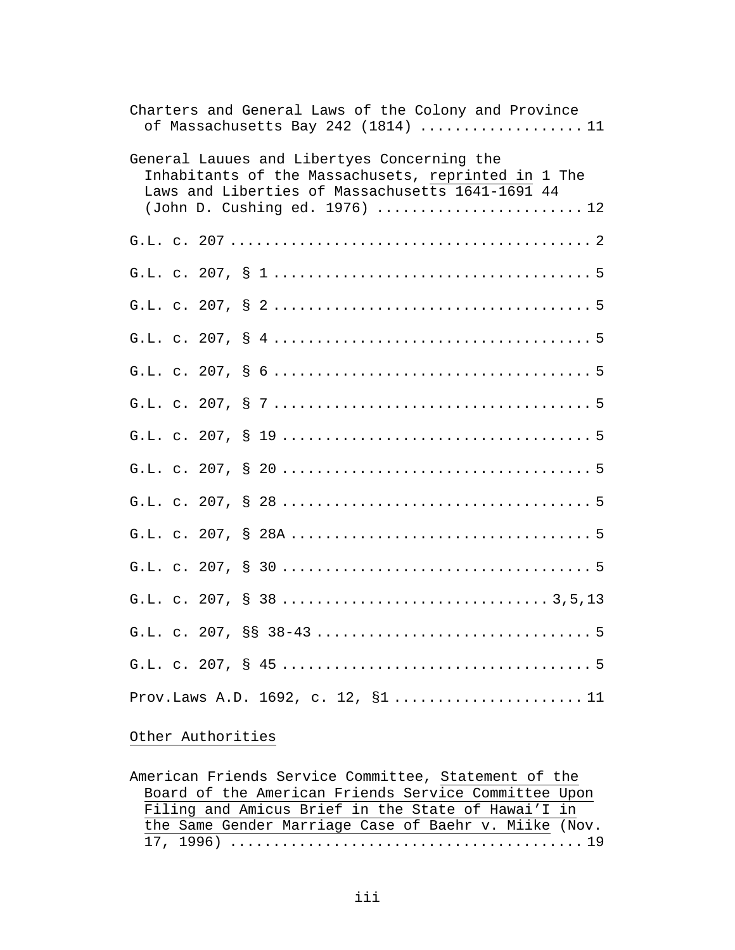| Charters and General Laws of the Colony and Province<br>of Massachusetts Bay 242 (1814) 11                                                                                               |
|------------------------------------------------------------------------------------------------------------------------------------------------------------------------------------------|
| General Lauues and Libertyes Concerning the<br>Inhabitants of the Massachusets, reprinted in 1 The<br>Laws and Liberties of Massachusetts 1641-1691 44<br>(John D. Cushing ed. 1976)  12 |
|                                                                                                                                                                                          |
|                                                                                                                                                                                          |
|                                                                                                                                                                                          |
|                                                                                                                                                                                          |
|                                                                                                                                                                                          |
|                                                                                                                                                                                          |
|                                                                                                                                                                                          |
|                                                                                                                                                                                          |
|                                                                                                                                                                                          |
|                                                                                                                                                                                          |
|                                                                                                                                                                                          |
|                                                                                                                                                                                          |
|                                                                                                                                                                                          |
|                                                                                                                                                                                          |
| Prov.Laws A.D. 1692, c. 12, §111                                                                                                                                                         |

# Other Authorities

| American Friends Service Committee, Statement of the  |
|-------------------------------------------------------|
| Board of the American Friends Service Committee Upon  |
| Filing and Amicus Brief in the State of Hawai'I in    |
| the Same Gender Marriage Case of Baehr v. Miike (Nov. |
|                                                       |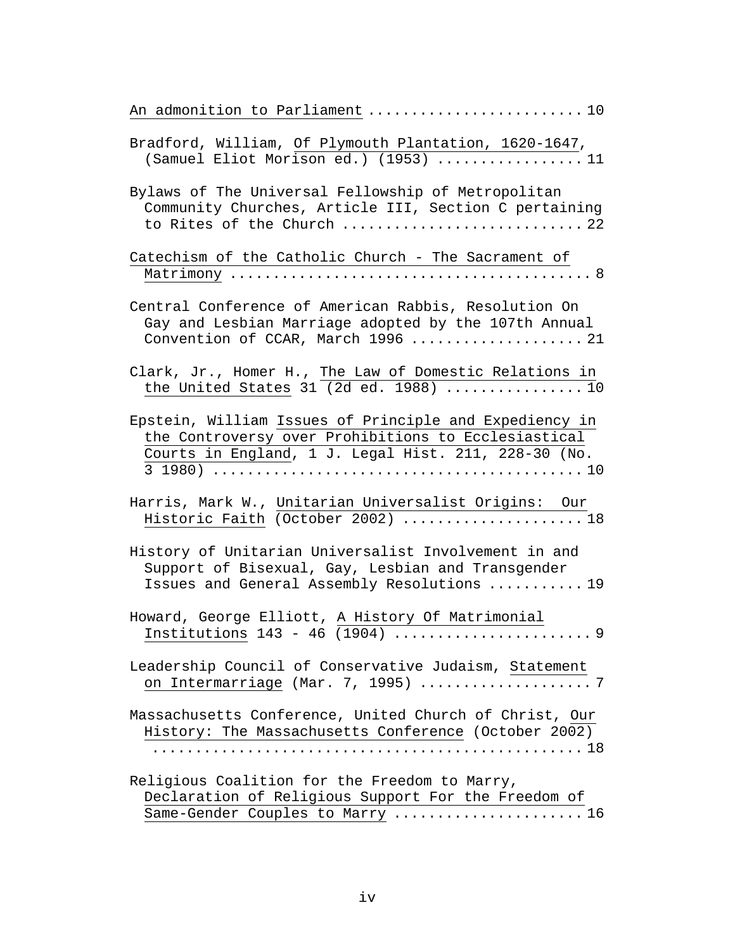| An admonition to Parliament 10                                                                                                                                        |
|-----------------------------------------------------------------------------------------------------------------------------------------------------------------------|
| Bradford, William, Of Plymouth Plantation, 1620-1647,<br>(Samuel Eliot Morison ed.) $(1953)$ 11                                                                       |
| Bylaws of The Universal Fellowship of Metropolitan<br>Community Churches, Article III, Section C pertaining<br>to Rites of the Church  22                             |
| Catechism of the Catholic Church - The Sacrament of                                                                                                                   |
| Central Conference of American Rabbis, Resolution On<br>Gay and Lesbian Marriage adopted by the 107th Annual<br>Convention of CCAR, March 1996  21                    |
| Clark, Jr., Homer H., The Law of Domestic Relations in<br>the United States 31 (2d ed. 1988) $\ldots$ 10                                                              |
| Epstein, William Issues of Principle and Expediency in<br>the Controversy over Prohibitions to Ecclesiastical<br>Courts in England, 1 J. Legal Hist. 211, 228-30 (No. |
| Harris, Mark W., Unitarian Universalist Origins: Our<br>Historic Faith (October 2002)  18                                                                             |
| History of Unitarian Universalist Involvement in and<br>Support of Bisexual, Gay, Lesbian and Transgender<br>Issues and General Assembly Resolutions  19              |
| Howard, George Elliott, A History Of Matrimonial                                                                                                                      |
| Leadership Council of Conservative Judaism, Statement<br>on Intermarriage (Mar. 7, 1995) 7                                                                            |
| Massachusetts Conference, United Church of Christ, Our<br>History: The Massachusetts Conference (October 2002)                                                        |
| Religious Coalition for the Freedom to Marry,<br>Declaration of Religious Support For the Freedom of<br>Same-Gender Couples to Marry  16                              |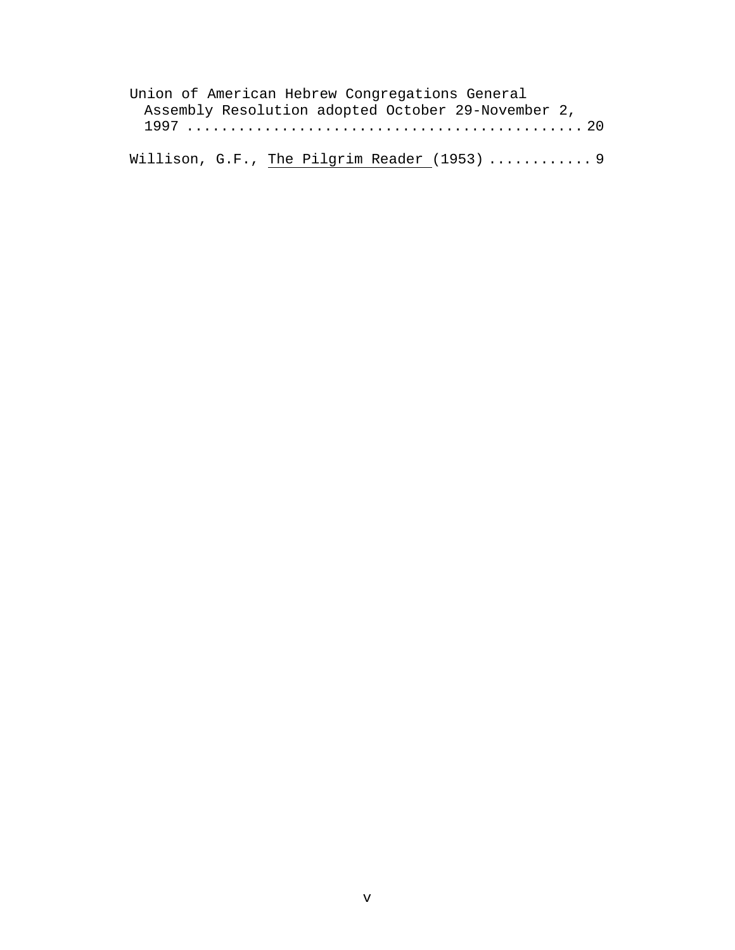| Union of American Hebrew Congregations General     |  |
|----------------------------------------------------|--|
| Assembly Resolution adopted October 29-November 2, |  |
|                                                    |  |
|                                                    |  |
| Willison, G.F., The Pilgrim Reader (1953)  9       |  |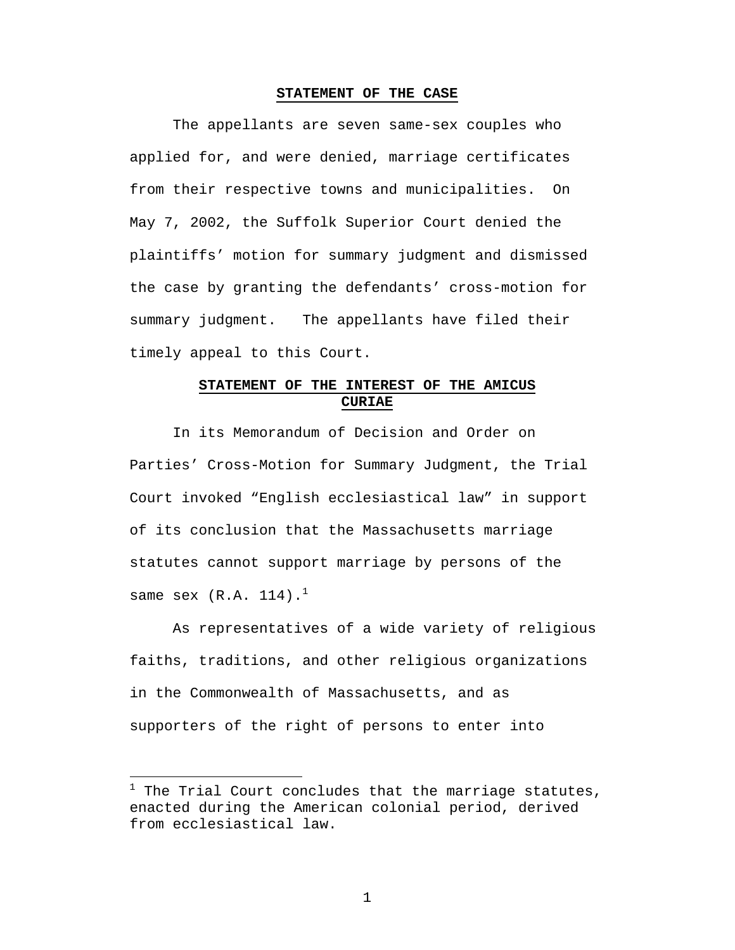#### **STATEMENT OF THE CASE**

The appellants are seven same-sex couples who applied for, and were denied, marriage certificates from their respective towns and municipalities. On May 7, 2002, the Suffolk Superior Court denied the plaintiffs' motion for summary judgment and dismissed the case by granting the defendants' cross-motion for summary judgment. The appellants have filed their timely appeal to this Court.

# **STATEMENT OF THE INTEREST OF THE AMICUS CURIAE**

In its Memorandum of Decision and Order on Parties' Cross-Motion for Summary Judgment, the Trial Court invoked "English ecclesiastical law" in support of its conclusion that the Massachusetts marriage statutes cannot support marriage by persons of the same sex  $(R.A. 114).$ <sup>1</sup>

As representatives of a wide variety of religious faiths, traditions, and other religious organizations in the Commonwealth of Massachusetts, and as supporters of the right of persons to enter into

 $\overline{a}$ 

 $1$  The Trial Court concludes that the marriage statutes, enacted during the American colonial period, derived from ecclesiastical law.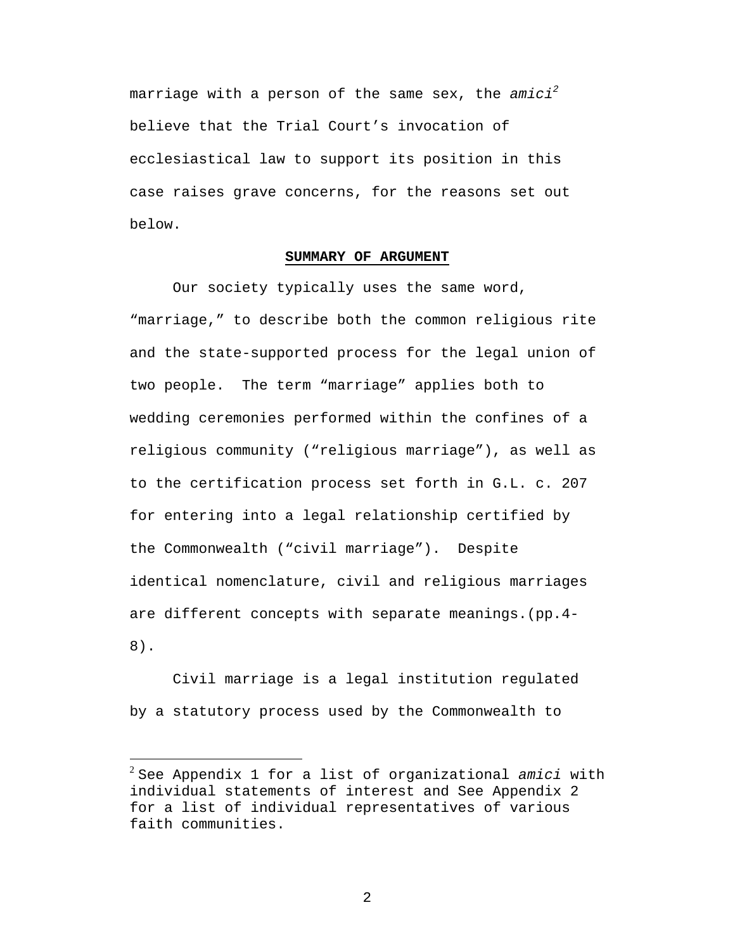marriage with a person of the same sex, the *amici<sup>2</sup>* believe that the Trial Court's invocation of ecclesiastical law to support its position in this case raises grave concerns, for the reasons set out below.

### **SUMMARY OF ARGUMENT**

Our society typically uses the same word, "marriage," to describe both the common religious rite and the state-supported process for the legal union of two people. The term "marriage" applies both to wedding ceremonies performed within the confines of a religious community ("religious marriage"), as well as to the certification process set forth in G.L. c. 207 for entering into a legal relationship certified by the Commonwealth ("civil marriage"). Despite identical nomenclature, civil and religious marriages are different concepts with separate meanings.(pp.4- 8).

Civil marriage is a legal institution regulated by a statutory process used by the Commonwealth to

 $\overline{a}$ 

<sup>2</sup> See Appendix 1 for a list of organizational *amici* with individual statements of interest and See Appendix 2 for a list of individual representatives of various faith communities.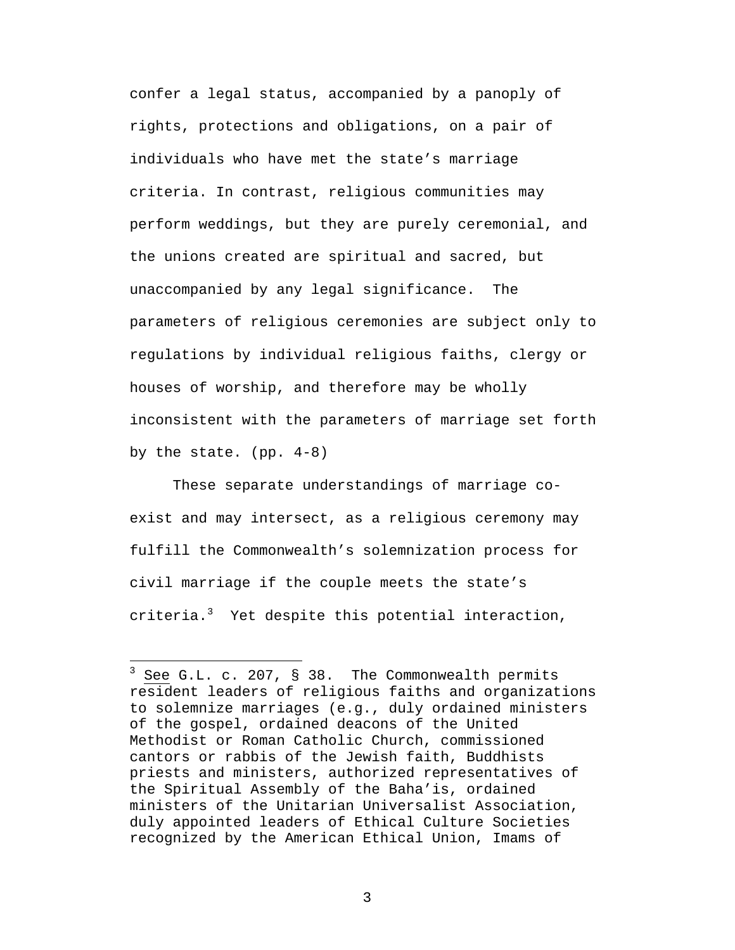confer a legal status, accompanied by a panoply of rights, protections and obligations, on a pair of individuals who have met the state's marriage criteria. In contrast, religious communities may perform weddings, but they are purely ceremonial, and the unions created are spiritual and sacred, but unaccompanied by any legal significance. The parameters of religious ceremonies are subject only to regulations by individual religious faiths, clergy or houses of worship, and therefore may be wholly inconsistent with the parameters of marriage set forth by the state. (pp. 4-8)

These separate understandings of marriage coexist and may intersect, as a religious ceremony may fulfill the Commonwealth's solemnization process for civil marriage if the couple meets the state's criteria. $3$  Yet despite this potential interaction,

 $\overline{a}$ 

 $3$  See G.L. c. 207, § 38. The Commonwealth permits resident leaders of religious faiths and organizations to solemnize marriages (e.g., duly ordained ministers of the gospel, ordained deacons of the United Methodist or Roman Catholic Church, commissioned cantors or rabbis of the Jewish faith, Buddhists priests and ministers, authorized representatives of the Spiritual Assembly of the Baha'is, ordained ministers of the Unitarian Universalist Association, duly appointed leaders of Ethical Culture Societies recognized by the American Ethical Union, Imams of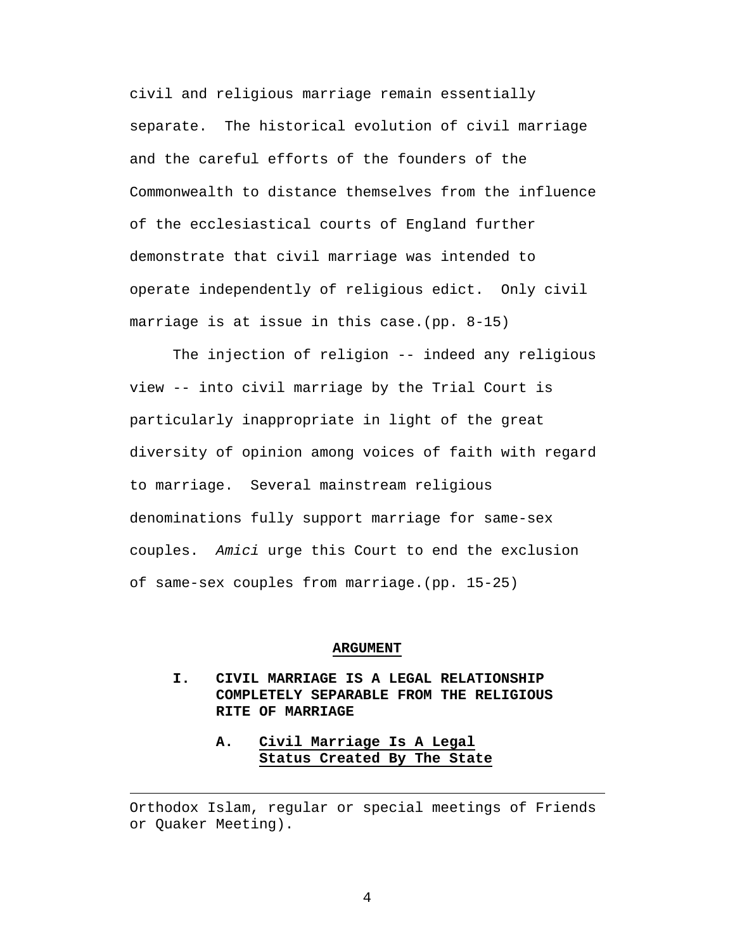civil and religious marriage remain essentially separate. The historical evolution of civil marriage and the careful efforts of the founders of the Commonwealth to distance themselves from the influence of the ecclesiastical courts of England further demonstrate that civil marriage was intended to operate independently of religious edict. Only civil marriage is at issue in this case.(pp. 8-15)

The injection of religion -- indeed any religious view -- into civil marriage by the Trial Court is particularly inappropriate in light of the great diversity of opinion among voices of faith with regard to marriage. Several mainstream religious denominations fully support marriage for same-sex couples. *Amici* urge this Court to end the exclusion of same-sex couples from marriage.(pp. 15-25)

#### **ARGUMENT**

- **I. CIVIL MARRIAGE IS A LEGAL RELATIONSHIP COMPLETELY SEPARABLE FROM THE RELIGIOUS RITE OF MARRIAGE**
	- **A. Civil Marriage Is A Legal Status Created By The State**

Orthodox Islam, regular or special meetings of Friends or Quaker Meeting).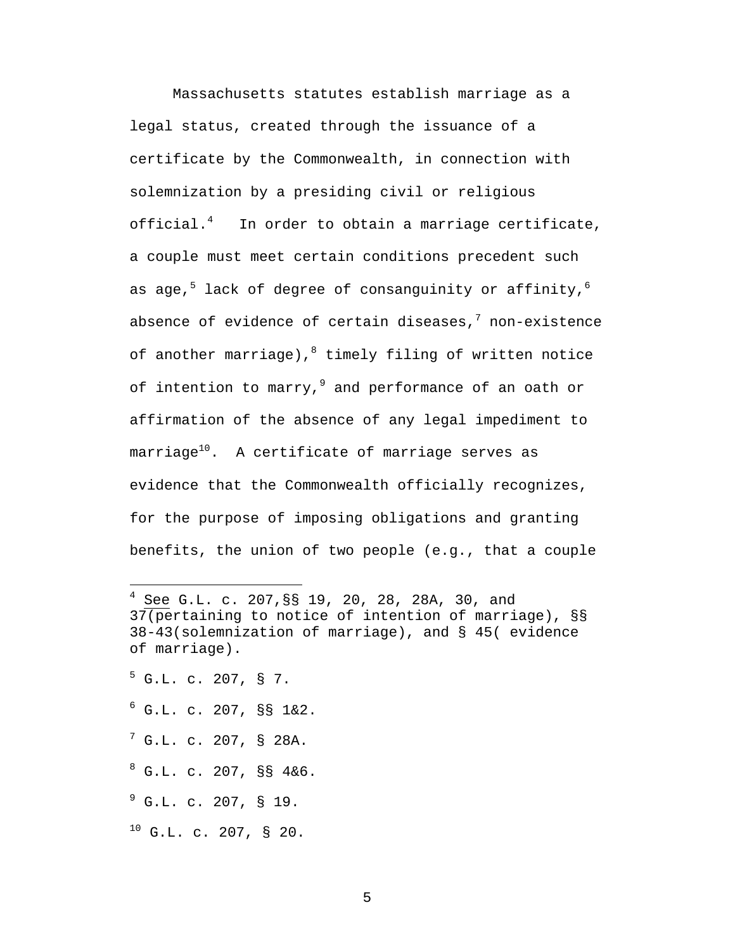Massachusetts statutes establish marriage as a legal status, created through the issuance of a certificate by the Commonwealth, in connection with solemnization by a presiding civil or religious official. $4$  In order to obtain a marriage certificate, a couple must meet certain conditions precedent such as age,<sup>5</sup> lack of degree of consanguinity or affinity,<sup>6</sup> absence of evidence of certain diseases, $^7$  non-existence of another marriage), $^{8}$  timely filing of written notice of intention to marry,  $9$  and performance of an oath or affirmation of the absence of any legal impediment to  $\text{marriage}^{10}$ . A certificate of marriage serves as evidence that the Commonwealth officially recognizes, for the purpose of imposing obligations and granting benefits, the union of two people (e.g., that a couple

 $5$  G.L. c. 207, § 7.

<u>.</u>

- <sup>6</sup> G.L. c. 207, §§ 1&2.
- $^7$  G.L. c. 207, § 28A.
- $8^8$  G.L. c. 207, §§ 4&6.
- $^{9}$  G.L. c. 207, § 19.
- $10$  G.L. c. 207, § 20.

<sup>4</sup> See G.L. c. 207,§§ 19, 20, 28, 28A, 30, and 37(pertaining to notice of intention of marriage), §§ 38-43(solemnization of marriage), and § 45( evidence of marriage).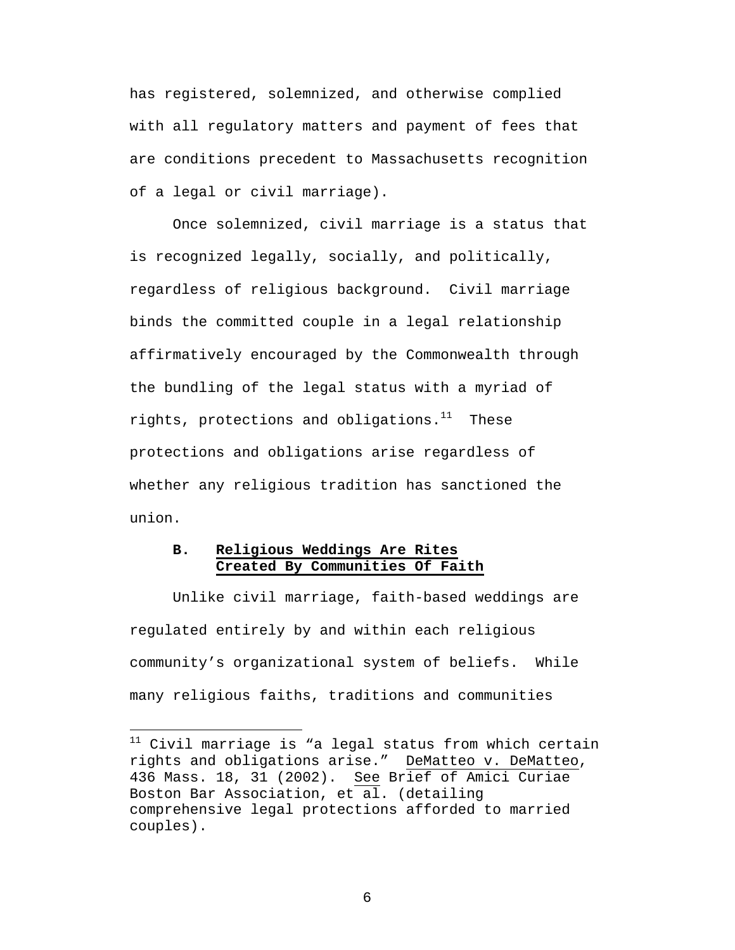has registered, solemnized, and otherwise complied with all regulatory matters and payment of fees that are conditions precedent to Massachusetts recognition of a legal or civil marriage).

Once solemnized, civil marriage is a status that is recognized legally, socially, and politically, regardless of religious background. Civil marriage binds the committed couple in a legal relationship affirmatively encouraged by the Commonwealth through the bundling of the legal status with a myriad of rights, protections and obligations. $11$  These protections and obligations arise regardless of whether any religious tradition has sanctioned the union.

## **B. Religious Weddings Are Rites Created By Communities Of Faith**

 $\overline{a}$ 

Unlike civil marriage, faith-based weddings are regulated entirely by and within each religious community's organizational system of beliefs. While many religious faiths, traditions and communities

 $11$  Civil marriage is "a legal status from which certain rights and obligations arise." DeMatteo v. DeMatteo, 436 Mass. 18, 31 (2002). See Brief of Amici Curiae Boston Bar Association, et al. (detailing comprehensive legal protections afforded to married couples).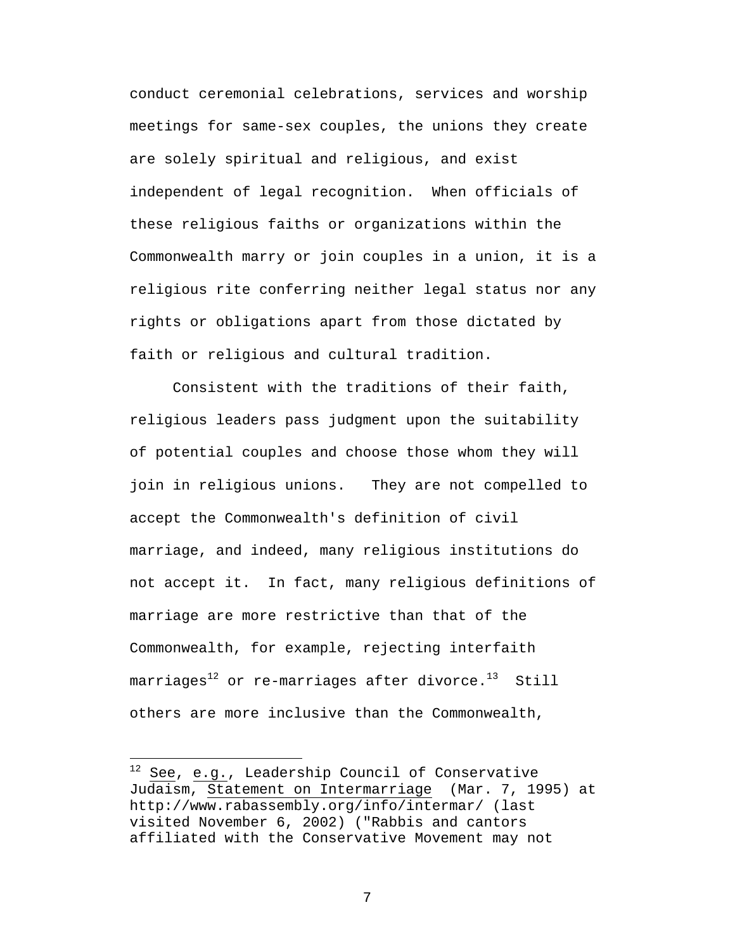conduct ceremonial celebrations, services and worship meetings for same-sex couples, the unions they create are solely spiritual and religious, and exist independent of legal recognition. When officials of these religious faiths or organizations within the Commonwealth marry or join couples in a union, it is a religious rite conferring neither legal status nor any rights or obligations apart from those dictated by faith or religious and cultural tradition.

Consistent with the traditions of their faith, religious leaders pass judgment upon the suitability of potential couples and choose those whom they will join in religious unions. They are not compelled to accept the Commonwealth's definition of civil marriage, and indeed, many religious institutions do not accept it. In fact, many religious definitions of marriage are more restrictive than that of the Commonwealth, for example, rejecting interfaith marriages<sup>12</sup> or re-marriages after divorce.<sup>13</sup> Still others are more inclusive than the Commonwealth,

<u>.</u>

 $12$  See, e.g., Leadership Council of Conservative Judaism, Statement on Intermarriage (Mar. 7, 1995) at http://www.rabassembly.org/info/intermar/ (last visited November 6, 2002) ("Rabbis and cantors affiliated with the Conservative Movement may not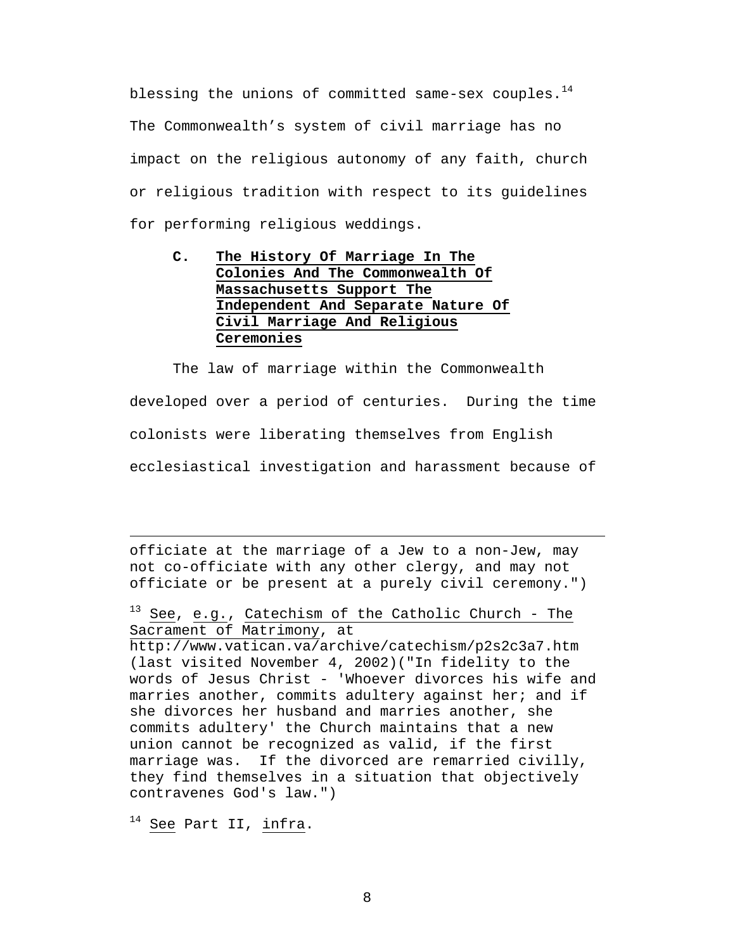blessing the unions of committed same-sex couples. $14$ The Commonwealth's system of civil marriage has no impact on the religious autonomy of any faith, church or religious tradition with respect to its guidelines for performing religious weddings.

## **C. The History Of Marriage In The Colonies And The Commonwealth Of Massachusetts Support The Independent And Separate Nature Of Civil Marriage And Religious Ceremonies**

The law of marriage within the Commonwealth developed over a period of centuries. During the time colonists were liberating themselves from English ecclesiastical investigation and harassment because of

officiate at the marriage of a Jew to a non-Jew, may not co-officiate with any other clergy, and may not officiate or be present at a purely civil ceremony.")

<sup>13</sup> See, e.g., Catechism of the Catholic Church - The Sacrament of Matrimony, at

http://www.vatican.va/archive/catechism/p2s2c3a7.htm (last visited November 4, 2002)("In fidelity to the words of Jesus Christ - 'Whoever divorces his wife and marries another, commits adultery against her; and if she divorces her husband and marries another, she commits adultery' the Church maintains that a new union cannot be recognized as valid, if the first marriage was. If the divorced are remarried civilly, they find themselves in a situation that objectively contravenes God's law.")

<sup>14</sup> See Part II, *infra*.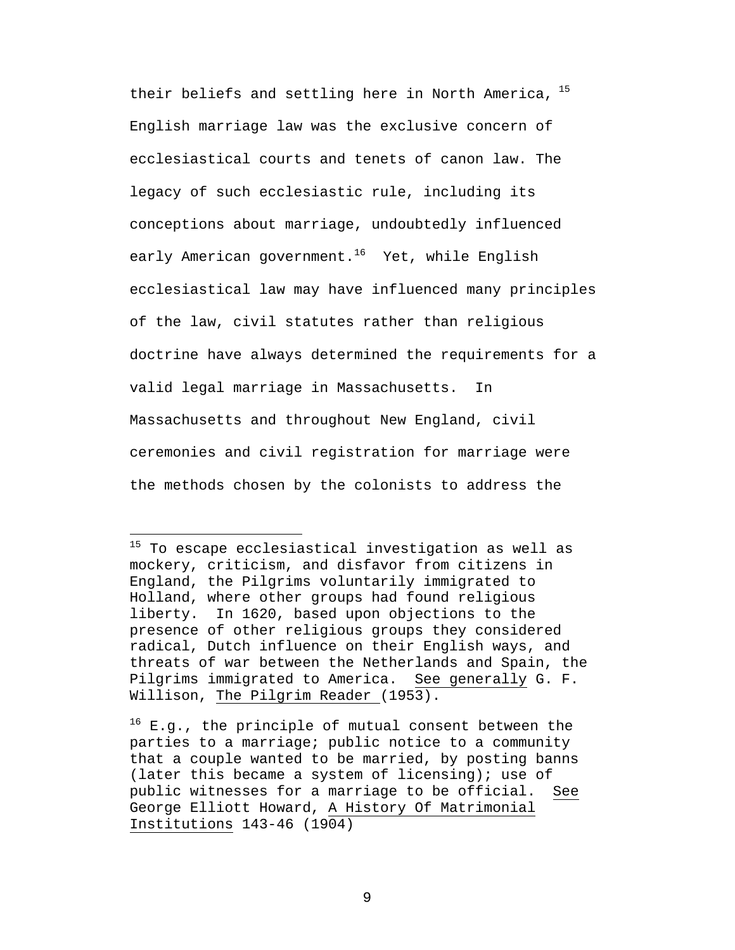their beliefs and settling here in North America,  $^{15}$ English marriage law was the exclusive concern of ecclesiastical courts and tenets of canon law. The legacy of such ecclesiastic rule, including its conceptions about marriage, undoubtedly influenced early American government.<sup>16</sup> Yet, while English ecclesiastical law may have influenced many principles of the law, civil statutes rather than religious doctrine have always determined the requirements for a valid legal marriage in Massachusetts. In Massachusetts and throughout New England, civil ceremonies and civil registration for marriage were the methods chosen by the colonists to address the

<u>.</u>

<sup>&</sup>lt;sup>15</sup> To escape ecclesiastical investigation as well as mockery, criticism, and disfavor from citizens in England, the Pilgrims voluntarily immigrated to Holland, where other groups had found religious liberty. In 1620, based upon objections to the presence of other religious groups they considered radical, Dutch influence on their English ways, and threats of war between the Netherlands and Spain, the Pilgrims immigrated to America. See generally G. F. Willison, The Pilgrim Reader (1953).

 $16$  E.g., the principle of mutual consent between the parties to a marriage; public notice to a community that a couple wanted to be married, by posting banns (later this became a system of licensing); use of public witnesses for a marriage to be official. See George Elliott Howard, A History Of Matrimonial Institutions 143-46 (1904)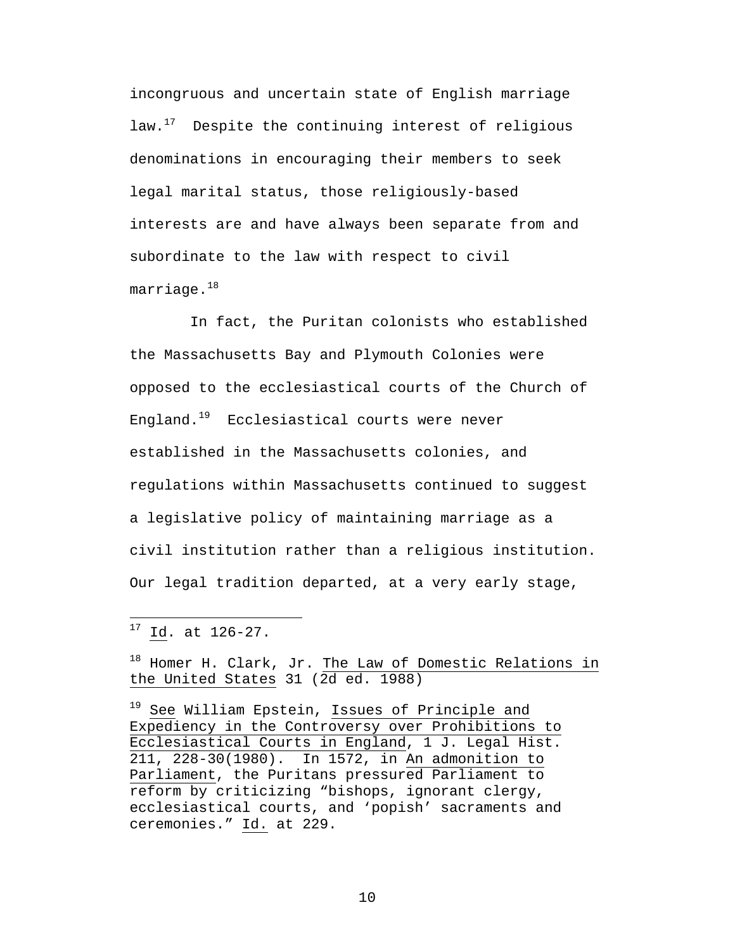incongruous and uncertain state of English marriage law.<sup>17</sup> Despite the continuing interest of religious denominations in encouraging their members to seek legal marital status, those religiously-based interests are and have always been separate from and subordinate to the law with respect to civil  $marriage.^{18}$ 

 In fact, the Puritan colonists who established the Massachusetts Bay and Plymouth Colonies were opposed to the ecclesiastical courts of the Church of England. $19$  Ecclesiastical courts were never established in the Massachusetts colonies, and regulations within Massachusetts continued to suggest a legislative policy of maintaining marriage as a civil institution rather than a religious institution. Our legal tradition departed, at a very early stage,

 $\overline{a}$ 

18 Homer H. Clark, Jr. The Law of Domestic Relations in the United States 31 (2d ed. 1988)

<sup>19</sup> See William Epstein, Issues of Principle and Expediency in the Controversy over Prohibitions to Ecclesiastical Courts in England, 1 J. Legal Hist. 211, 228-30(1980). In 1572, in An admonition to Parliament, the Puritans pressured Parliament to reform by criticizing "bishops, ignorant clergy, ecclesiastical courts, and 'popish' sacraments and ceremonies." Id. at 229.

 $17 \underline{Id}$ . at 126-27.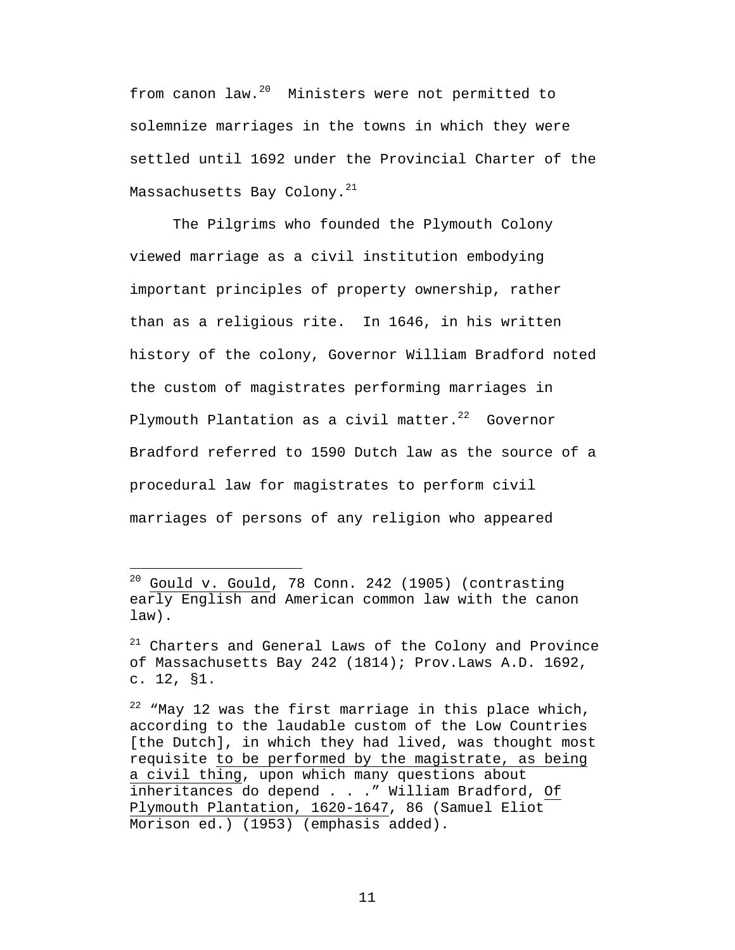from canon law.<sup>20</sup> Ministers were not permitted to solemnize marriages in the towns in which they were settled until 1692 under the Provincial Charter of the Massachusetts Bay Colony.<sup>21</sup>

The Pilgrims who founded the Plymouth Colony viewed marriage as a civil institution embodying important principles of property ownership, rather than as a religious rite. In 1646, in his written history of the colony, Governor William Bradford noted the custom of magistrates performing marriages in Plymouth Plantation as a civil matter. $22$  Governor Bradford referred to 1590 Dutch law as the source of a procedural law for magistrates to perform civil marriages of persons of any religion who appeared

 $20$  Gould v. Gould, 78 Conn. 242 (1905) (contrasting early English and American common law with the canon law).

<sup>21</sup> Charters and General Laws of the Colony and Province of Massachusetts Bay 242 (1814); Prov.Laws A.D. 1692, c. 12, §1.

 $22$  "May 12 was the first marriage in this place which, according to the laudable custom of the Low Countries [the Dutch], in which they had lived, was thought most requisite to be performed by the magistrate, as being a civil thing, upon which many questions about inheritances do depend . . ." William Bradford, Of Plymouth Plantation, 1620-1647, 86 (Samuel Eliot Morison ed.) (1953) (emphasis added).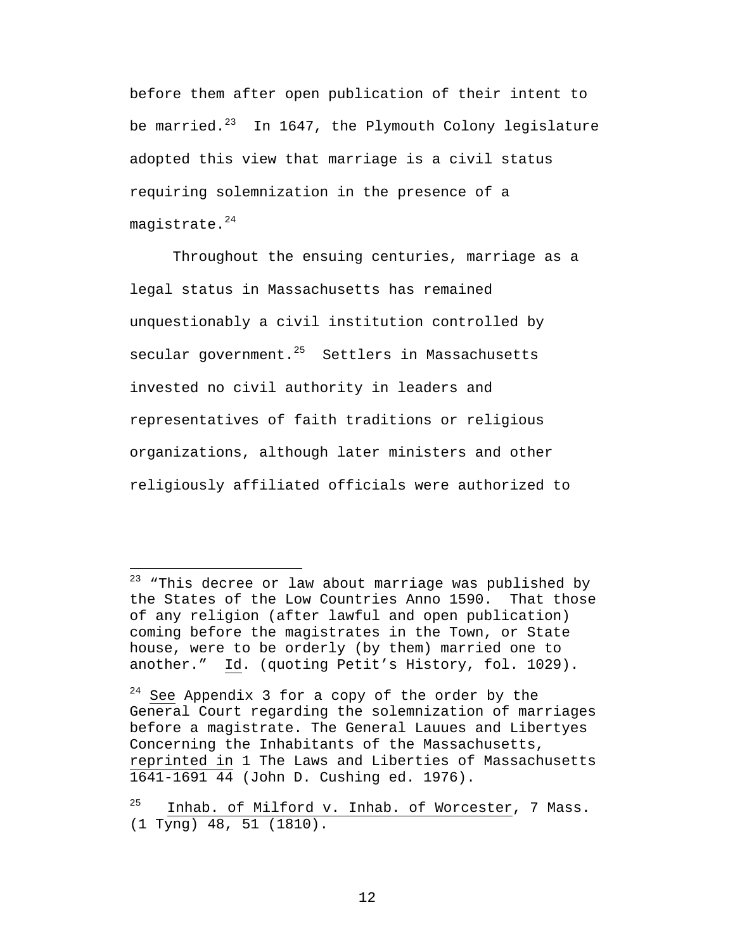before them after open publication of their intent to be married. $^{23}$  In 1647, the Plymouth Colony legislature adopted this view that marriage is a civil status requiring solemnization in the presence of a magistrate. $24$ 

Throughout the ensuing centuries, marriage as a legal status in Massachusetts has remained unquestionably a civil institution controlled by secular government.<sup>25</sup> Settlers in Massachusetts invested no civil authority in leaders and representatives of faith traditions or religious organizations, although later ministers and other religiously affiliated officials were authorized to

 $23$  "This decree or law about marriage was published by the States of the Low Countries Anno 1590. That those of any religion (after lawful and open publication) coming before the magistrates in the Town, or State house, were to be orderly (by them) married one to another." Id. (quoting Petit's History, fol. 1029).

 $24$  See Appendix 3 for a copy of the order by the General Court regarding the solemnization of marriages before a magistrate. The General Lauues and Libertyes Concerning the Inhabitants of the Massachusetts, reprinted in 1 The Laws and Liberties of Massachusetts 1641-1691 44 (John D. Cushing ed. 1976).

Inhab. of Milford v. Inhab. of Worcester, 7 Mass. (1 Tyng) 48, 51 (1810).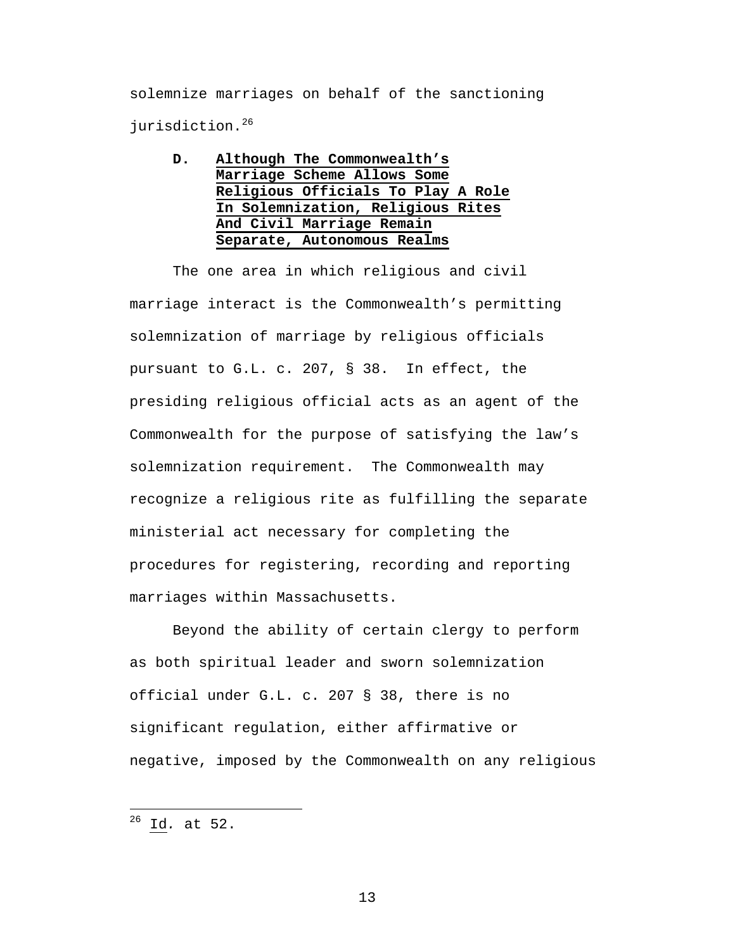solemnize marriages on behalf of the sanctioning jurisdiction.<sup>26</sup>

**D. Although The Commonwealth's Marriage Scheme Allows Some Religious Officials To Play A Role In Solemnization, Religious Rites And Civil Marriage Remain Separate, Autonomous Realms**

The one area in which religious and civil marriage interact is the Commonwealth's permitting solemnization of marriage by religious officials pursuant to G.L. c. 207, § 38. In effect, the presiding religious official acts as an agent of the Commonwealth for the purpose of satisfying the law's solemnization requirement. The Commonwealth may recognize a religious rite as fulfilling the separate ministerial act necessary for completing the procedures for registering, recording and reporting marriages within Massachusetts.

Beyond the ability of certain clergy to perform as both spiritual leader and sworn solemnization official under G.L. c. 207 § 38, there is no significant regulation, either affirmative or negative, imposed by the Commonwealth on any religious

<sup>26</sup> Id*.* at 52.

 $\overline{a}$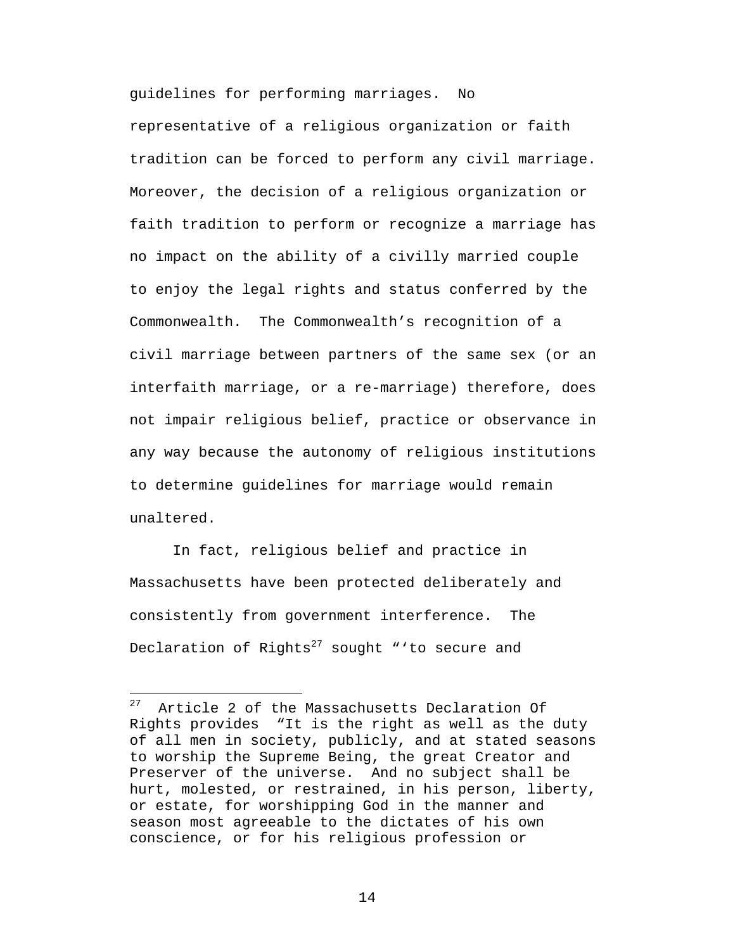guidelines for performing marriages. No

representative of a religious organization or faith tradition can be forced to perform any civil marriage. Moreover, the decision of a religious organization or faith tradition to perform or recognize a marriage has no impact on the ability of a civilly married couple to enjoy the legal rights and status conferred by the Commonwealth. The Commonwealth's recognition of a civil marriage between partners of the same sex (or an interfaith marriage, or a re-marriage) therefore, does not impair religious belief, practice or observance in any way because the autonomy of religious institutions to determine guidelines for marriage would remain unaltered.

In fact, religious belief and practice in Massachusetts have been protected deliberately and consistently from government interference. The Declaration of Rights<sup>27</sup> sought "'to secure and

 $\overline{a}$ 

 $27$  Article 2 of the Massachusetts Declaration Of Rights provides "It is the right as well as the duty of all men in society, publicly, and at stated seasons to worship the Supreme Being, the great Creator and Preserver of the universe. And no subject shall be hurt, molested, or restrained, in his person, liberty, or estate, for worshipping God in the manner and season most agreeable to the dictates of his own conscience, or for his religious profession or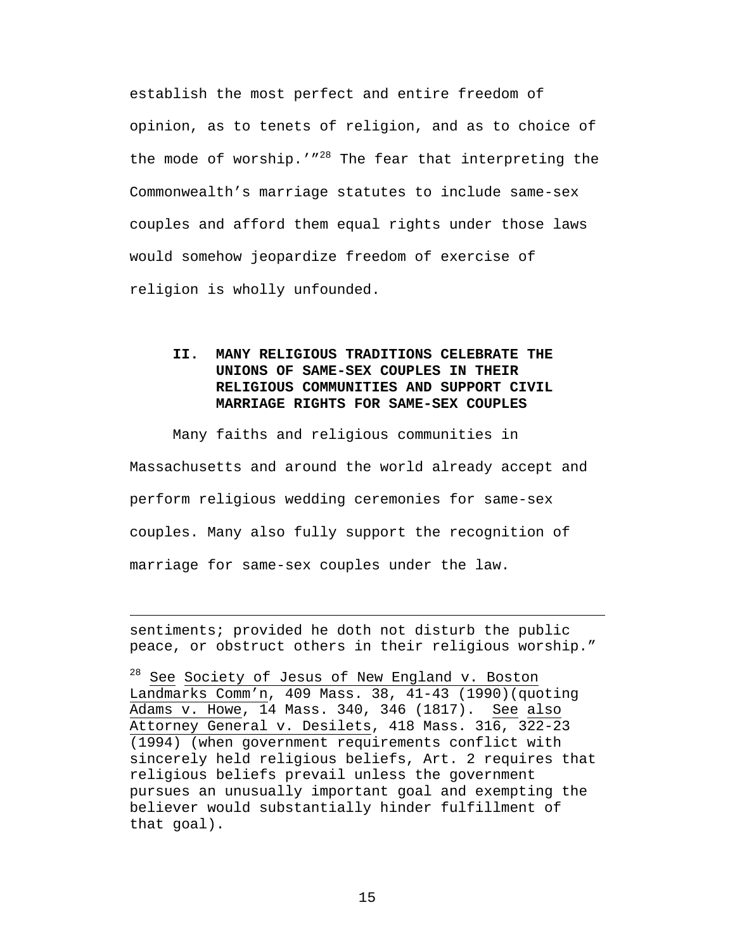establish the most perfect and entire freedom of opinion, as to tenets of religion, and as to choice of the mode of worship.'"<sup>28</sup> The fear that interpreting the Commonwealth's marriage statutes to include same-sex couples and afford them equal rights under those laws would somehow jeopardize freedom of exercise of religion is wholly unfounded.

## **II. MANY RELIGIOUS TRADITIONS CELEBRATE THE UNIONS OF SAME-SEX COUPLES IN THEIR RELIGIOUS COMMUNITIES AND SUPPORT CIVIL MARRIAGE RIGHTS FOR SAME-SEX COUPLES**

Many faiths and religious communities in Massachusetts and around the world already accept and perform religious wedding ceremonies for same-sex couples. Many also fully support the recognition of marriage for same-sex couples under the law.

sentiments; provided he doth not disturb the public peace, or obstruct others in their religious worship."

 $\overline{a}$ 

<sup>28</sup> See Society of Jesus of New England v. Boston Landmarks Comm'n, 409 Mass. 38, 41-43 (1990)(quoting Adams v. Howe, 14 Mass. 340, 346 (1817). See also Attorney General v. Desilets, 418 Mass. 316, 322-23 (1994) (when government requirements conflict with sincerely held religious beliefs, Art. 2 requires that religious beliefs prevail unless the government pursues an unusually important goal and exempting the believer would substantially hinder fulfillment of that goal).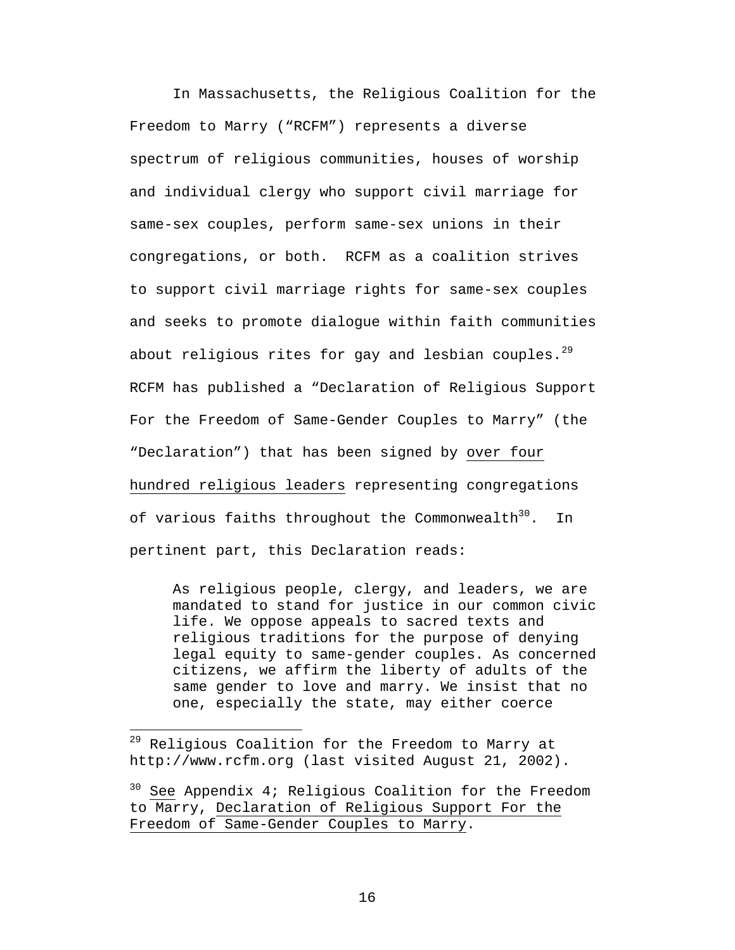In Massachusetts, the Religious Coalition for the Freedom to Marry ("RCFM") represents a diverse spectrum of religious communities, houses of worship and individual clergy who support civil marriage for same-sex couples, perform same-sex unions in their congregations, or both. RCFM as a coalition strives to support civil marriage rights for same-sex couples and seeks to promote dialogue within faith communities about religious rites for gay and lesbian couples.<sup>29</sup> RCFM has published a "Declaration of Religious Support For the Freedom of Same-Gender Couples to Marry" (the "Declaration") that has been signed by over four hundred religious leaders representing congregations of various faiths throughout the Commonwealth $30^{\circ}$ . In pertinent part, this Declaration reads:

As religious people, clergy, and leaders, we are mandated to stand for justice in our common civic life. We oppose appeals to sacred texts and religious traditions for the purpose of denying legal equity to same-gender couples. As concerned citizens, we affirm the liberty of adults of the same gender to love and marry. We insist that no one, especially the state, may either coerce

<sup>&</sup>lt;sup>29</sup> Religious Coalition for the Freedom to Marry at http://www.rcfm.org (last visited August 21, 2002).

 $30$  See Appendix 4; Religious Coalition for the Freedom to Marry, Declaration of Religious Support For the Freedom of Same-Gender Couples to Marry.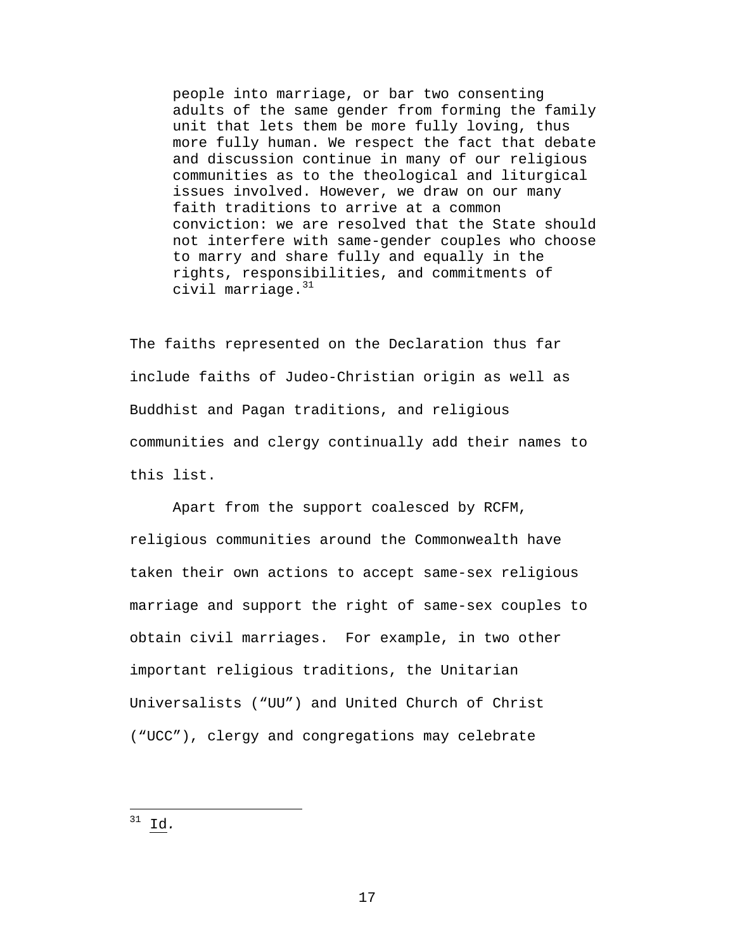people into marriage, or bar two consenting adults of the same gender from forming the family unit that lets them be more fully loving, thus more fully human. We respect the fact that debate and discussion continue in many of our religious communities as to the theological and liturgical issues involved. However, we draw on our many faith traditions to arrive at a common conviction: we are resolved that the State should not interfere with same-gender couples who choose to marry and share fully and equally in the rights, responsibilities, and commitments of civil marriage.<sup>31</sup>

The faiths represented on the Declaration thus far include faiths of Judeo-Christian origin as well as Buddhist and Pagan traditions, and religious communities and clergy continually add their names to this list.

Apart from the support coalesced by RCFM, religious communities around the Commonwealth have taken their own actions to accept same-sex religious marriage and support the right of same-sex couples to obtain civil marriages. For example, in two other important religious traditions, the Unitarian Universalists ("UU") and United Church of Christ ("UCC"), clergy and congregations may celebrate

<sup>31</sup> Id*.*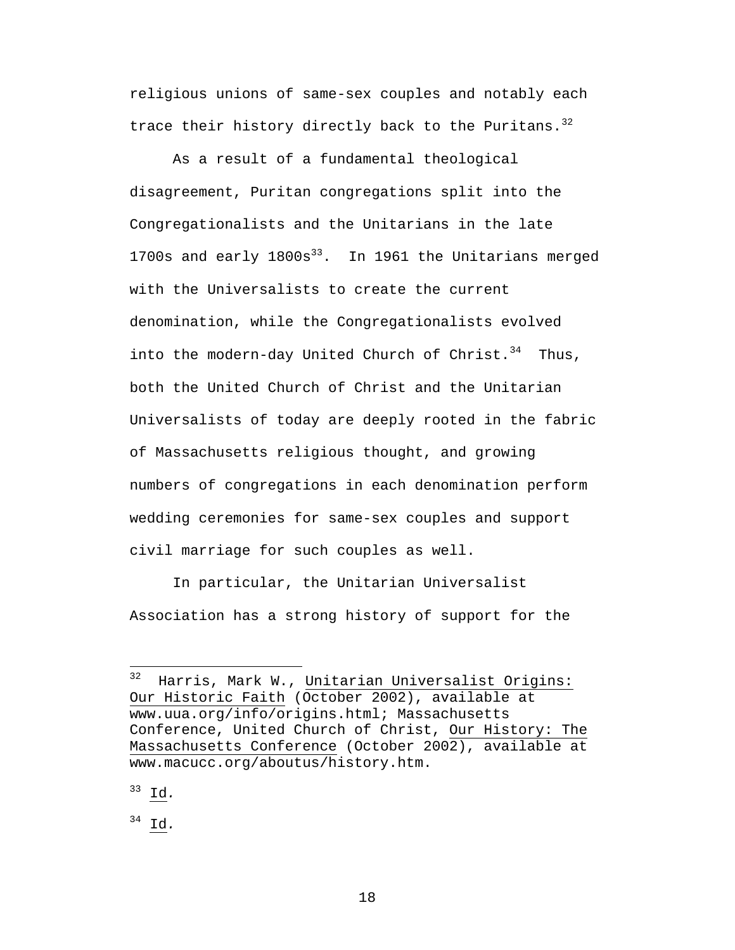religious unions of same-sex couples and notably each trace their history directly back to the Puritans.<sup>32</sup>

As a result of a fundamental theological disagreement, Puritan congregations split into the Congregationalists and the Unitarians in the late 1700s and early  $1800s^{33}$ . In 1961 the Unitarians merged with the Universalists to create the current denomination, while the Congregationalists evolved into the modern-day United Church of Christ. $34$  Thus, both the United Church of Christ and the Unitarian Universalists of today are deeply rooted in the fabric of Massachusetts religious thought, and growing numbers of congregations in each denomination perform wedding ceremonies for same-sex couples and support civil marriage for such couples as well.

In particular, the Unitarian Universalist Association has a strong history of support for the

 $^{33}$  I<u>d</u>.

<sup>34</sup> Id*.*

<sup>32</sup> Harris, Mark W., Unitarian Universalist Origins: Our Historic Faith (October 2002), available at www.uua.org/info/origins.html; Massachusetts Conference, United Church of Christ, Our History: The Massachusetts Conference (October 2002), available at www.macucc.org/aboutus/history.htm.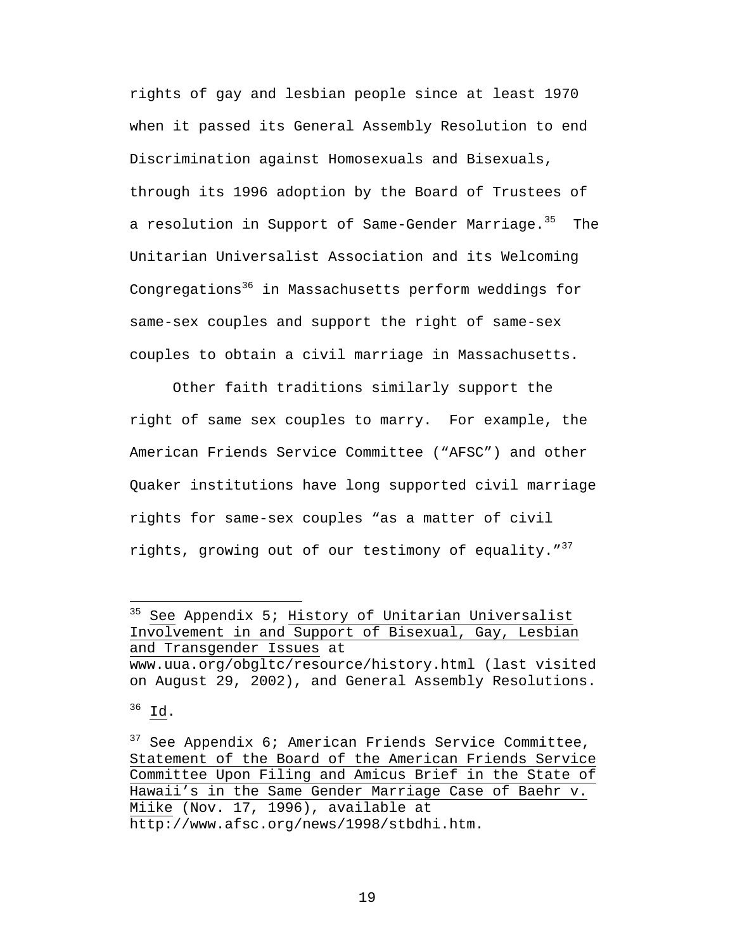rights of gay and lesbian people since at least 1970 when it passed its General Assembly Resolution to end Discrimination against Homosexuals and Bisexuals, through its 1996 adoption by the Board of Trustees of a resolution in Support of Same-Gender Marriage.<sup>35</sup> The Unitarian Universalist Association and its Welcoming Congregations<sup>36</sup> in Massachusetts perform weddings for same-sex couples and support the right of same-sex couples to obtain a civil marriage in Massachusetts.

Other faith traditions similarly support the right of same sex couples to marry. For example, the American Friends Service Committee ("AFSC") and other Quaker institutions have long supported civil marriage rights for same-sex couples "as a matter of civil rights, growing out of our testimony of equality." $37$ 

<sup>&</sup>lt;sup>35</sup> See Appendix 5; History of Unitarian Universalist Involvement in and Support of Bisexual, Gay, Lesbian and Transgender Issues at

www.uua.org/obgltc/resource/history.html (last visited on August 29, 2002), and General Assembly Resolutions.

<sup>36</sup> Id.

 $37$  See Appendix 6; American Friends Service Committee, Statement of the Board of the American Friends Service Committee Upon Filing and Amicus Brief in the State of Hawaii's in the Same Gender Marriage Case of Baehr v. Miike (Nov. 17, 1996), available at http://www.afsc.org/news/1998/stbdhi.htm.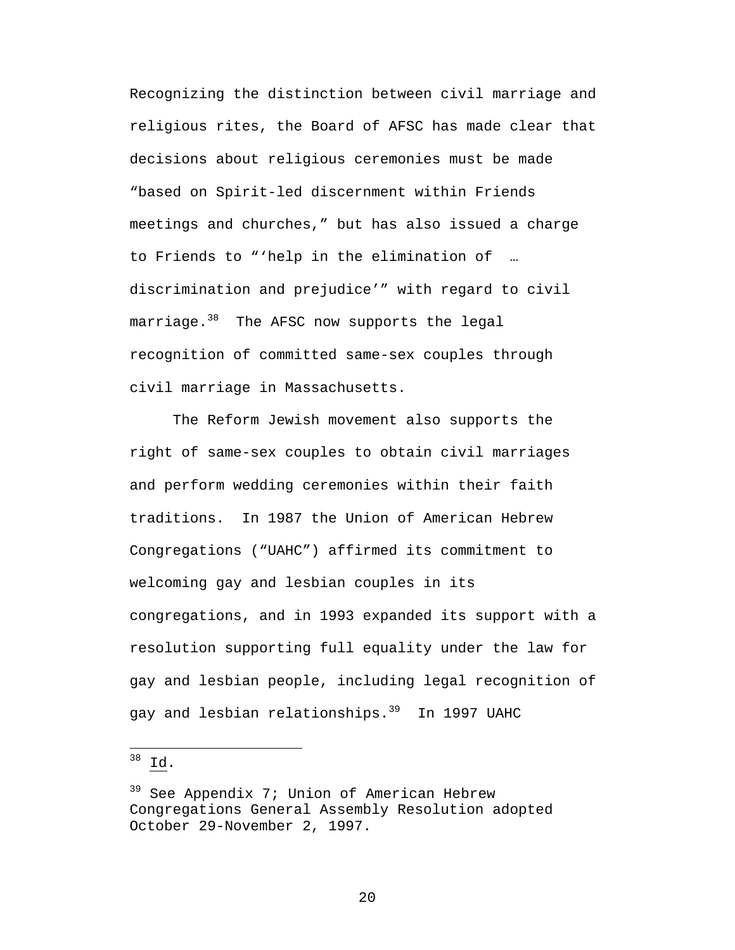Recognizing the distinction between civil marriage and religious rites, the Board of AFSC has made clear that decisions about religious ceremonies must be made "based on Spirit-led discernment within Friends meetings and churches," but has also issued a charge to Friends to "'help in the elimination of … discrimination and prejudice'" with regard to civil marriage.<sup>38</sup> The AFSC now supports the legal recognition of committed same-sex couples through civil marriage in Massachusetts.

The Reform Jewish movement also supports the right of same-sex couples to obtain civil marriages and perform wedding ceremonies within their faith traditions. In 1987 the Union of American Hebrew Congregations ("UAHC") affirmed its commitment to welcoming gay and lesbian couples in its congregations, and in 1993 expanded its support with a resolution supporting full equality under the law for gay and lesbian people, including legal recognition of gay and lesbian relationships.<sup>39</sup> In 1997 UAHC

 $38 \underline{Id}$ .

 $\overline{a}$ 

<sup>&</sup>lt;sup>39</sup> See Appendix 7; Union of American Hebrew Congregations General Assembly Resolution adopted October 29-November 2, 1997.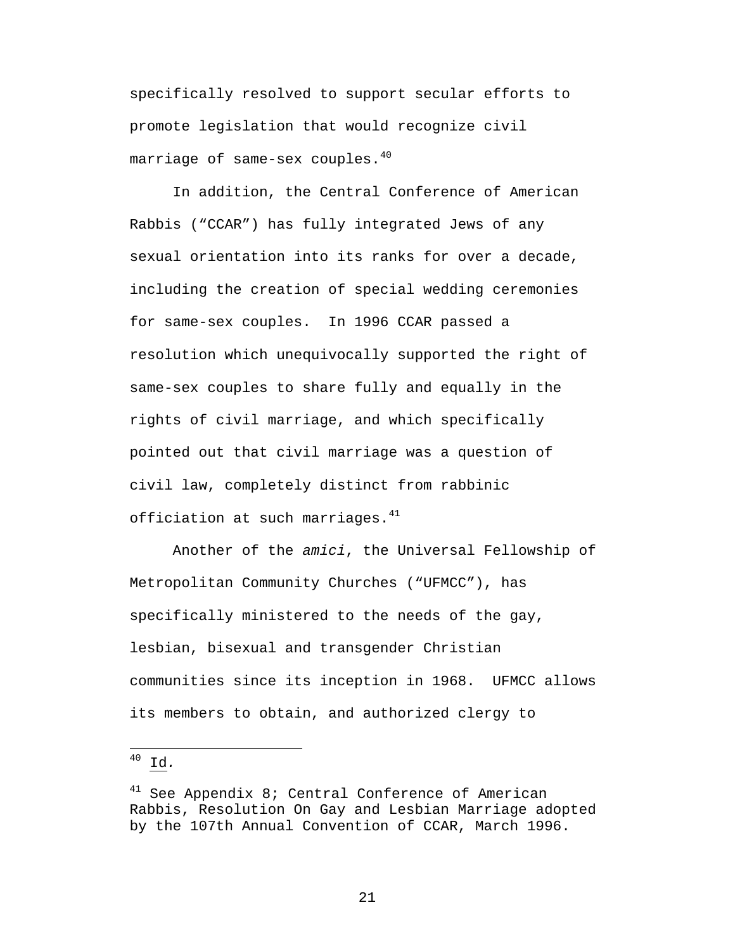specifically resolved to support secular efforts to promote legislation that would recognize civil marriage of same-sex couples.<sup>40</sup>

In addition, the Central Conference of American Rabbis ("CCAR") has fully integrated Jews of any sexual orientation into its ranks for over a decade, including the creation of special wedding ceremonies for same-sex couples. In 1996 CCAR passed a resolution which unequivocally supported the right of same-sex couples to share fully and equally in the rights of civil marriage, and which specifically pointed out that civil marriage was a question of civil law, completely distinct from rabbinic officiation at such marriages. $41$ 

Another of the *amici*, the Universal Fellowship of Metropolitan Community Churches ("UFMCC"), has specifically ministered to the needs of the gay, lesbian, bisexual and transgender Christian communities since its inception in 1968. UFMCC allows its members to obtain, and authorized clergy to

 $^{40}$  <u>Id</u>.

 $\overline{a}$ 

 $41$  See Appendix 8; Central Conference of American Rabbis, Resolution On Gay and Lesbian Marriage adopted by the 107th Annual Convention of CCAR, March 1996.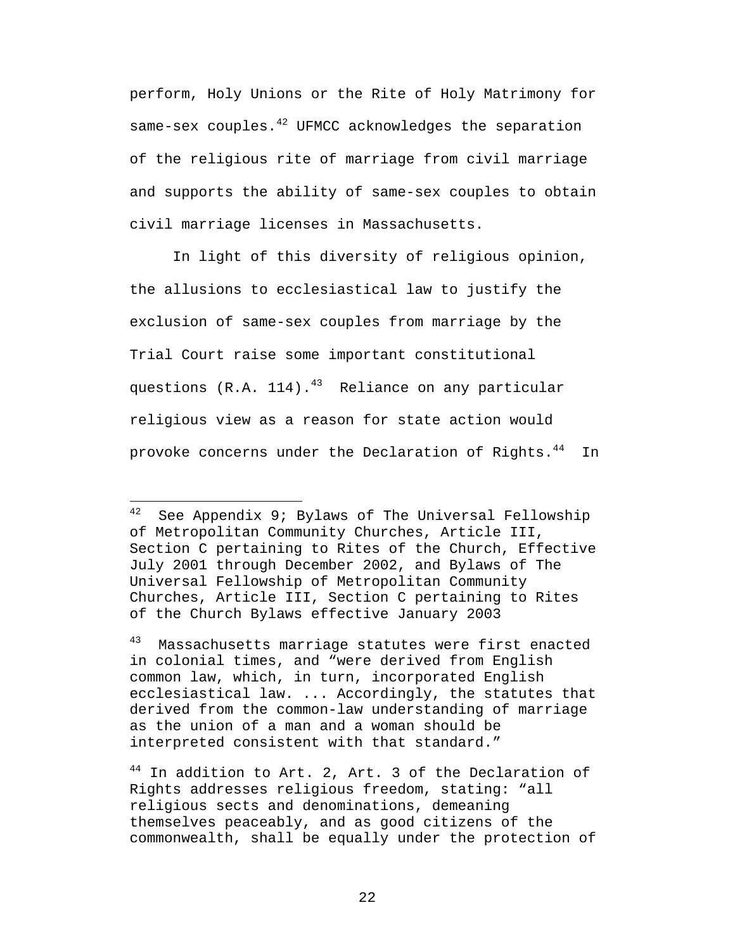perform, Holy Unions or the Rite of Holy Matrimony for same-sex couples. $42$  UFMCC acknowledges the separation of the religious rite of marriage from civil marriage and supports the ability of same-sex couples to obtain civil marriage licenses in Massachusetts.

In light of this diversity of religious opinion, the allusions to ecclesiastical law to justify the exclusion of same-sex couples from marriage by the Trial Court raise some important constitutional questions  $(R.A. 114).^{43}$  Reliance on any particular religious view as a reason for state action would provoke concerns under the Declaration of Rights.<sup>44</sup> In

 $42$  See Appendix 9; Bylaws of The Universal Fellowship of Metropolitan Community Churches, Article III, Section C pertaining to Rites of the Church, Effective July 2001 through December 2002, and Bylaws of The Universal Fellowship of Metropolitan Community Churches, Article III, Section C pertaining to Rites of the Church Bylaws effective January 2003

<sup>43</sup> Massachusetts marriage statutes were first enacted in colonial times, and "were derived from English common law, which, in turn, incorporated English ecclesiastical law. ... Accordingly, the statutes that derived from the common-law understanding of marriage as the union of a man and a woman should be interpreted consistent with that standard."

<sup>&</sup>lt;sup>44</sup> In addition to Art. 2, Art. 3 of the Declaration of Rights addresses religious freedom, stating: "all religious sects and denominations, demeaning themselves peaceably, and as good citizens of the commonwealth, shall be equally under the protection of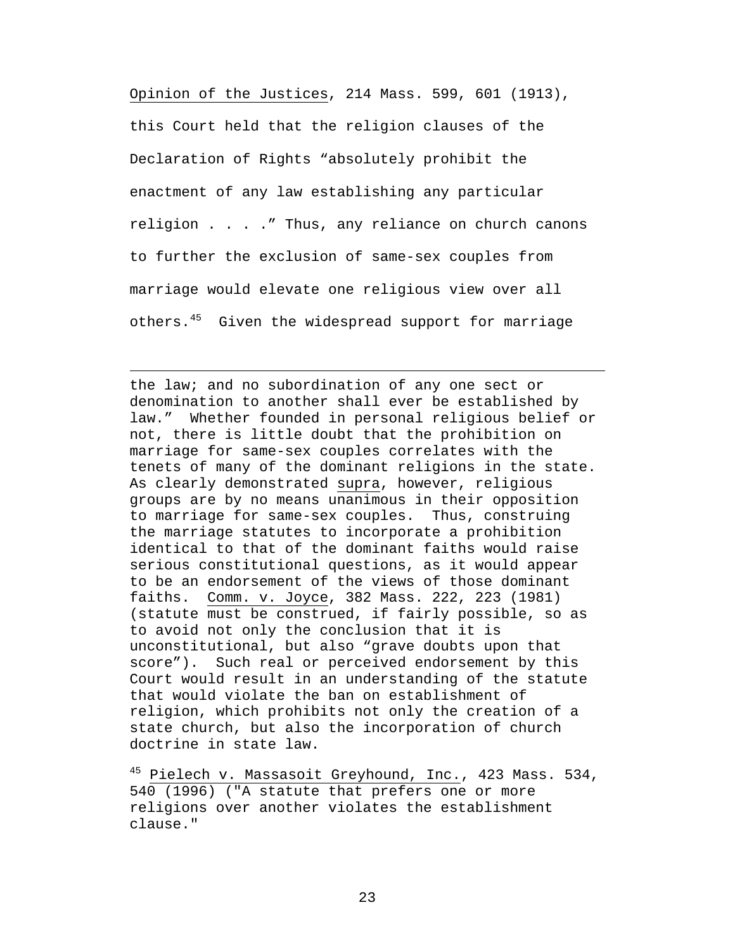Opinion of the Justices, 214 Mass. 599, 601 (1913), this Court held that the religion clauses of the Declaration of Rights "absolutely prohibit the enactment of any law establishing any particular religion . . . ." Thus, any reliance on church canons to further the exclusion of same-sex couples from marriage would elevate one religious view over all others.<sup>45</sup> Given the widespread support for marriage

 $\overline{a}$ 

the law; and no subordination of any one sect or denomination to another shall ever be established by law." Whether founded in personal religious belief or not, there is little doubt that the prohibition on marriage for same-sex couples correlates with the tenets of many of the dominant religions in the state. As clearly demonstrated supra, however, religious groups are by no means unanimous in their opposition to marriage for same-sex couples. Thus, construing the marriage statutes to incorporate a prohibition identical to that of the dominant faiths would raise serious constitutional questions, as it would appear to be an endorsement of the views of those dominant faiths. Comm. v. Joyce, 382 Mass. 222, 223 (1981) (statute must be construed, if fairly possible, so as to avoid not only the conclusion that it is unconstitutional, but also "grave doubts upon that score"). Such real or perceived endorsement by this Court would result in an understanding of the statute that would violate the ban on establishment of religion, which prohibits not only the creation of a state church, but also the incorporation of church doctrine in state law.

<sup>45</sup> Pielech v. Massasoit Greyhound, Inc., 423 Mass. 534, 540 (1996) ("A statute that prefers one or more religions over another violates the establishment clause."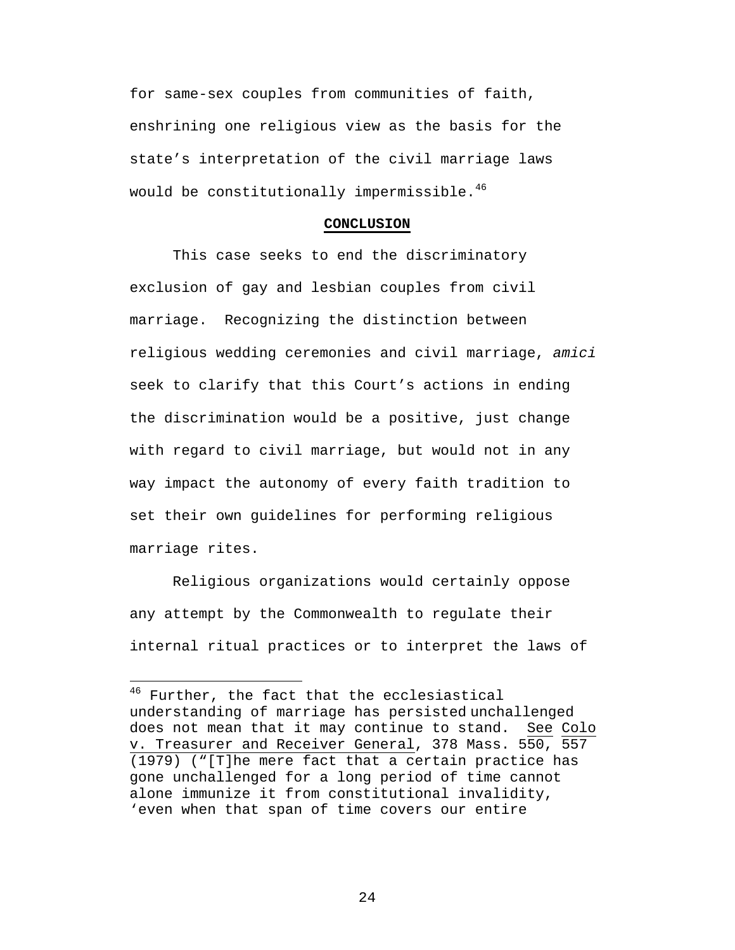for same-sex couples from communities of faith, enshrining one religious view as the basis for the state's interpretation of the civil marriage laws would be constitutionally impermissible.<sup>46</sup>

#### **CONCLUSION**

This case seeks to end the discriminatory exclusion of gay and lesbian couples from civil marriage. Recognizing the distinction between religious wedding ceremonies and civil marriage, *amici* seek to clarify that this Court's actions in ending the discrimination would be a positive, just change with regard to civil marriage, but would not in any way impact the autonomy of every faith tradition to set their own guidelines for performing religious marriage rites.

Religious organizations would certainly oppose any attempt by the Commonwealth to regulate their internal ritual practices or to interpret the laws of

 $\overline{a}$ 

<sup>&</sup>lt;sup>46</sup> Further, the fact that the ecclesiastical understanding of marriage has persisted unchallenged does not mean that it may continue to stand. See Colo v. Treasurer and Receiver General, 378 Mass. 550, 557 (1979) ("[T]he mere fact that a certain practice has gone unchallenged for a long period of time cannot alone immunize it from constitutional invalidity, 'even when that span of time covers our entire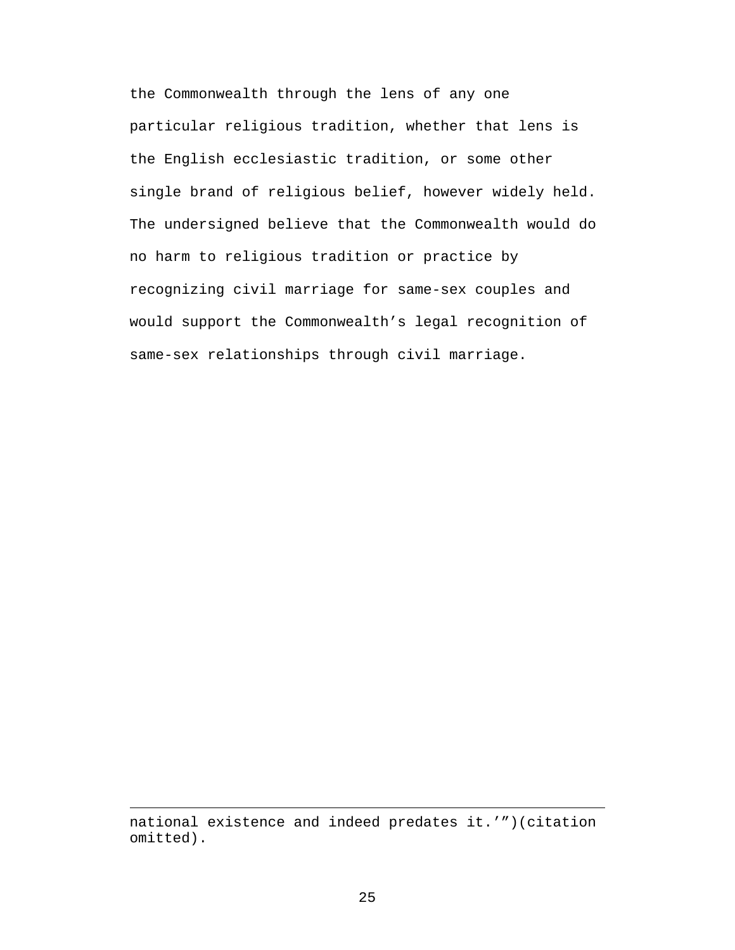the Commonwealth through the lens of any one particular religious tradition, whether that lens is the English ecclesiastic tradition, or some other single brand of religious belief, however widely held. The undersigned believe that the Commonwealth would do no harm to religious tradition or practice by recognizing civil marriage for same-sex couples and would support the Commonwealth's legal recognition of same-sex relationships through civil marriage.

national existence and indeed predates it.'")(citation omitted).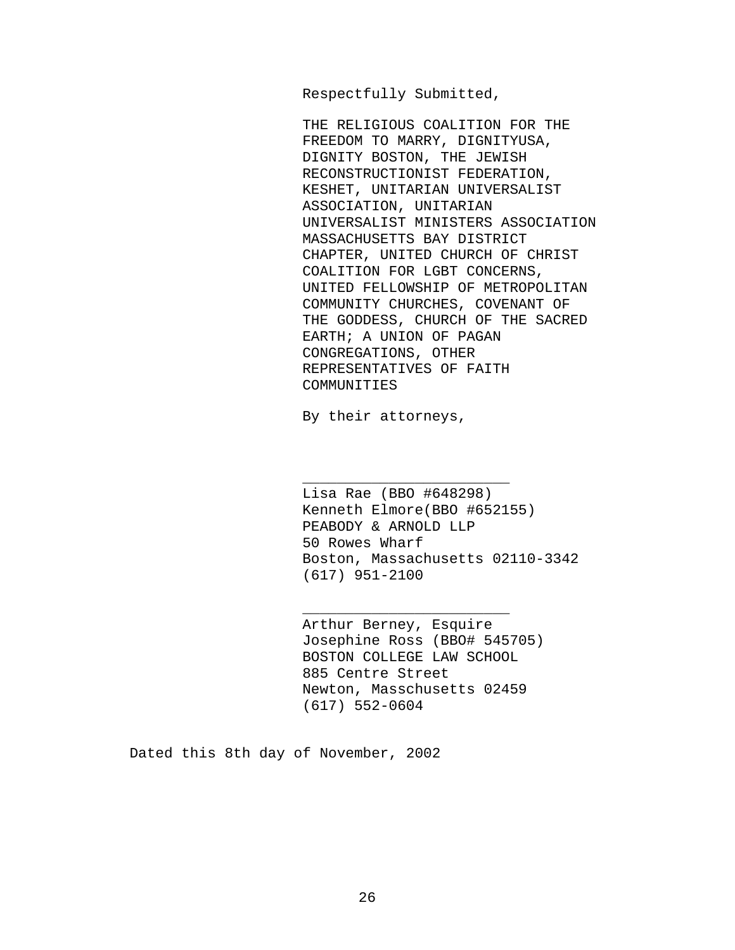Respectfully Submitted,

THE RELIGIOUS COALITION FOR THE FREEDOM TO MARRY, DIGNITYUSA, DIGNITY BOSTON, THE JEWISH RECONSTRUCTIONIST FEDERATION, KESHET, UNITARIAN UNIVERSALIST ASSOCIATION, UNITARIAN UNIVERSALIST MINISTERS ASSOCIATION MASSACHUSETTS BAY DISTRICT CHAPTER, UNITED CHURCH OF CHRIST COALITION FOR LGBT CONCERNS, UNITED FELLOWSHIP OF METROPOLITAN COMMUNITY CHURCHES, COVENANT OF THE GODDESS, CHURCH OF THE SACRED EARTH; A UNION OF PAGAN CONGREGATIONS, OTHER REPRESENTATIVES OF FAITH COMMUNITIES

By their attorneys,

\_\_\_\_\_\_\_\_\_\_\_\_\_\_\_\_\_\_\_\_\_\_\_\_

\_\_\_\_\_\_\_\_\_\_\_\_\_\_\_\_\_\_\_\_\_\_\_\_

Lisa Rae (BBO #648298) Kenneth Elmore(BBO #652155) PEABODY & ARNOLD LLP 50 Rowes Wharf Boston, Massachusetts 02110-3342 (617) 951-2100

Arthur Berney, Esquire Josephine Ross (BBO# 545705) BOSTON COLLEGE LAW SCHOOL 885 Centre Street Newton, Masschusetts 02459 (617) 552-0604

Dated this 8th day of November, 2002